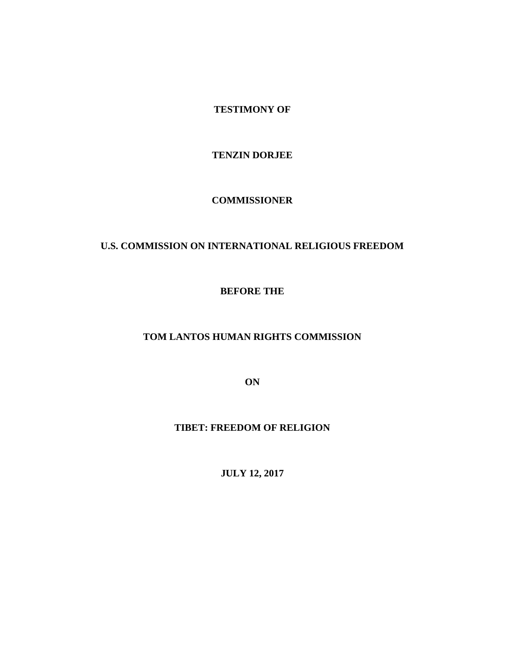**TESTIMONY OF**

**TENZIN DORJEE**

**COMMISSIONER**

# **U.S. COMMISSION ON INTERNATIONAL RELIGIOUS FREEDOM**

**BEFORE THE** 

**TOM LANTOS HUMAN RIGHTS COMMISSION**

**ON**

**TIBET: FREEDOM OF RELIGION**

**JULY 12, 2017**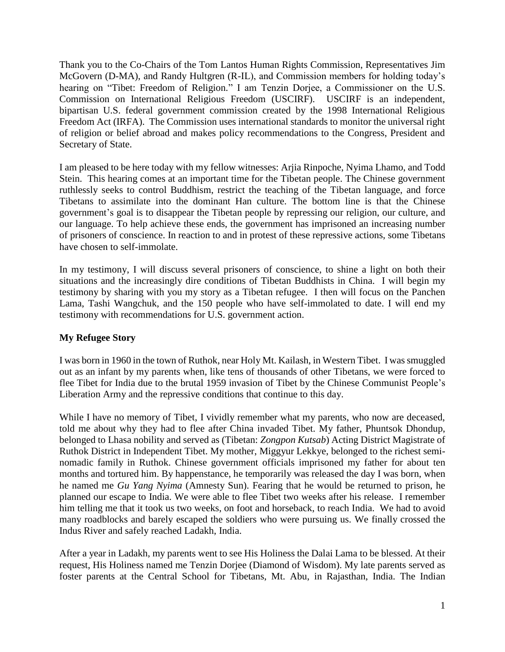Thank you to the Co-Chairs of the Tom Lantos Human Rights Commission, Representatives Jim McGovern (D-MA), and Randy Hultgren (R-IL), and Commission members for holding today's hearing on "Tibet: Freedom of Religion." I am Tenzin Dorjee, a Commissioner on the U.S. Commission on International Religious Freedom (USCIRF). USCIRF is an independent, bipartisan U.S. federal government commission created by the 1998 International Religious Freedom Act (IRFA). The Commission uses international standards to monitor the universal right of religion or belief abroad and makes policy recommendations to the Congress, President and Secretary of State.

I am pleased to be here today with my fellow witnesses: Arjia Rinpoche, Nyima Lhamo, and Todd Stein. This hearing comes at an important time for the Tibetan people. The Chinese government ruthlessly seeks to control Buddhism, restrict the teaching of the Tibetan language, and force Tibetans to assimilate into the dominant Han culture. The bottom line is that the Chinese government's goal is to disappear the Tibetan people by repressing our religion, our culture, and our language. To help achieve these ends, the government has imprisoned an increasing number of prisoners of conscience. In reaction to and in protest of these repressive actions, some Tibetans have chosen to self-immolate.

In my testimony, I will discuss several prisoners of conscience, to shine a light on both their situations and the increasingly dire conditions of Tibetan Buddhists in China. I will begin my testimony by sharing with you my story as a Tibetan refugee. I then will focus on the Panchen Lama, Tashi Wangchuk, and the 150 people who have self-immolated to date. I will end my testimony with recommendations for U.S. government action.

# **My Refugee Story**

I was born in 1960 in the town of Ruthok, near Holy Mt. Kailash, in Western Tibet. I was smuggled out as an infant by my parents when, like tens of thousands of other Tibetans, we were forced to flee Tibet for India due to the brutal 1959 invasion of Tibet by the Chinese Communist People's Liberation Army and the repressive conditions that continue to this day.

While I have no memory of Tibet, I vividly remember what my parents, who now are deceased, told me about why they had to flee after China invaded Tibet. My father, Phuntsok Dhondup, belonged to Lhasa nobility and served as (Tibetan: *Zongpon Kutsab*) Acting District Magistrate of Ruthok District in Independent Tibet. My mother, Miggyur Lekkye, belonged to the richest seminomadic family in Ruthok. Chinese government officials imprisoned my father for about ten months and tortured him. By happenstance, he temporarily was released the day I was born, when he named me *Gu Yang Nyima* (Amnesty Sun). Fearing that he would be returned to prison, he planned our escape to India. We were able to flee Tibet two weeks after his release. I remember him telling me that it took us two weeks, on foot and horseback, to reach India. We had to avoid many roadblocks and barely escaped the soldiers who were pursuing us. We finally crossed the Indus River and safely reached Ladakh, India.

After a year in Ladakh, my parents went to see His Holiness the Dalai Lama to be blessed. At their request, His Holiness named me Tenzin Dorjee (Diamond of Wisdom). My late parents served as foster parents at the Central School for Tibetans, Mt. Abu, in Rajasthan, India. The Indian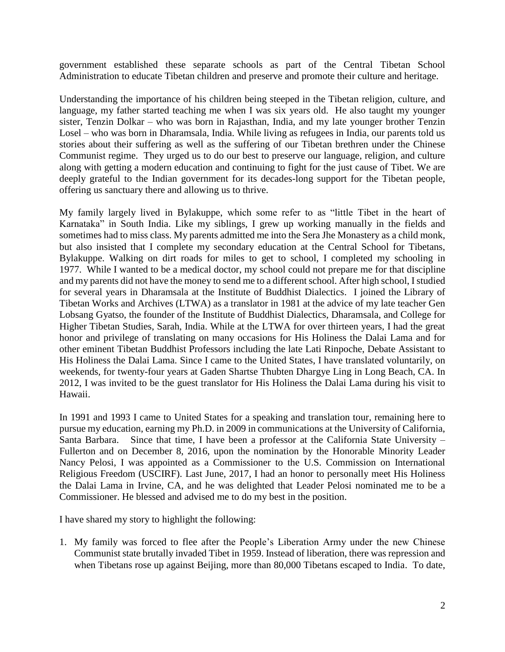government established these separate schools as part of the Central Tibetan School Administration to educate Tibetan children and preserve and promote their culture and heritage.

Understanding the importance of his children being steeped in the Tibetan religion, culture, and language, my father started teaching me when I was six years old. He also taught my younger sister, Tenzin Dolkar – who was born in Rajasthan, India, and my late younger brother Tenzin Losel – who was born in Dharamsala, India. While living as refugees in India, our parents told us stories about their suffering as well as the suffering of our Tibetan brethren under the Chinese Communist regime. They urged us to do our best to preserve our language, religion, and culture along with getting a modern education and continuing to fight for the just cause of Tibet. We are deeply grateful to the Indian government for its decades-long support for the Tibetan people, offering us sanctuary there and allowing us to thrive.

My family largely lived in Bylakuppe, which some refer to as "little Tibet in the heart of Karnataka" in South India. Like my siblings, I grew up working manually in the fields and sometimes had to miss class. My parents admitted me into the Sera Jhe Monastery as a child monk, but also insisted that I complete my secondary education at the Central School for Tibetans, Bylakuppe. Walking on dirt roads for miles to get to school, I completed my schooling in 1977. While I wanted to be a medical doctor, my school could not prepare me for that discipline and my parents did not have the money to send me to a different school. After high school, I studied for several years in Dharamsala at the Institute of Buddhist Dialectics. I joined the Library of Tibetan Works and Archives (LTWA) as a translator in 1981 at the advice of my late teacher Gen Lobsang Gyatso, the founder of the Institute of Buddhist Dialectics, Dharamsala, and College for Higher Tibetan Studies, Sarah, India. While at the LTWA for over thirteen years, I had the great honor and privilege of translating on many occasions for His Holiness the Dalai Lama and for other eminent Tibetan Buddhist Professors including the late Lati Rinpoche, Debate Assistant to His Holiness the Dalai Lama. Since I came to the United States, I have translated voluntarily, on weekends, for twenty-four years at Gaden Shartse Thubten Dhargye Ling in Long Beach, CA. In 2012, I was invited to be the guest translator for His Holiness the Dalai Lama during his visit to Hawaii.

In 1991 and 1993 I came to United States for a speaking and translation tour, remaining here to pursue my education, earning my Ph.D. in 2009 in communications at the University of California, Santa Barbara. Since that time, I have been a professor at the California State University – Fullerton and on December 8, 2016, upon the nomination by the Honorable Minority Leader Nancy Pelosi, I was appointed as a Commissioner to the U.S. Commission on International Religious Freedom (USCIRF). Last June, 2017, I had an honor to personally meet His Holiness the Dalai Lama in Irvine, CA, and he was delighted that Leader Pelosi nominated me to be a Commissioner. He blessed and advised me to do my best in the position.

I have shared my story to highlight the following:

1. My family was forced to flee after the People's Liberation Army under the new Chinese Communist state brutally invaded Tibet in 1959. Instead of liberation, there was repression and when Tibetans rose up against Beijing, more than 80,000 Tibetans escaped to India. To date,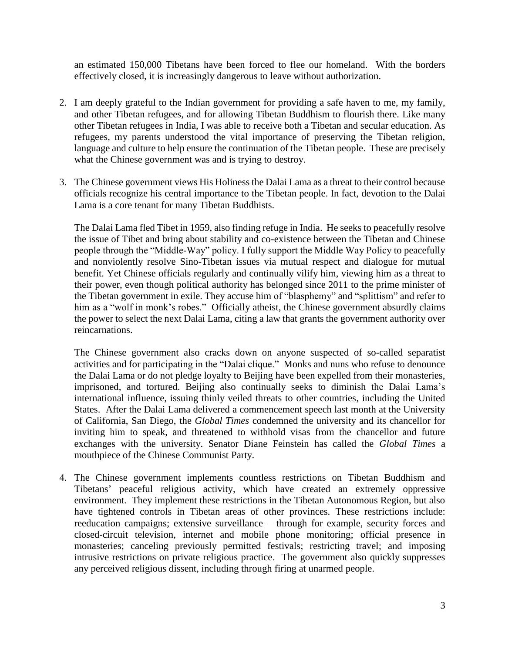an estimated 150,000 Tibetans have been forced to flee our homeland. With the borders effectively closed, it is increasingly dangerous to leave without authorization.

- 2. I am deeply grateful to the Indian government for providing a safe haven to me, my family, and other Tibetan refugees, and for allowing Tibetan Buddhism to flourish there. Like many other Tibetan refugees in India, I was able to receive both a Tibetan and secular education. As refugees, my parents understood the vital importance of preserving the Tibetan religion, language and culture to help ensure the continuation of the Tibetan people. These are precisely what the Chinese government was and is trying to destroy.
- 3. The Chinese government views His Holiness the Dalai Lama as a threat to their control because officials recognize his central importance to the Tibetan people. In fact, devotion to the Dalai Lama is a core tenant for many Tibetan Buddhists.

The Dalai Lama fled Tibet in 1959, also finding refuge in India. He seeks to peacefully resolve the issue of Tibet and bring about stability and co-existence between the Tibetan and Chinese people through the "Middle-Way" policy. I fully support the Middle Way Policy to peacefully and nonviolently resolve Sino-Tibetan issues via mutual respect and dialogue for mutual benefit. Yet Chinese officials regularly and continually vilify him, viewing him as a threat to their power, even though political authority has belonged since 2011 to the prime minister of the Tibetan government in exile. They accuse him of "blasphemy" and "splittism" and refer to him as a "wolf in monk's robes." Officially atheist, the Chinese government absurdly claims the power to select the next Dalai Lama, citing a law that grants the government authority over reincarnations.

The Chinese government also cracks down on anyone suspected of so-called separatist activities and for participating in the "Dalai clique." Monks and nuns who refuse to denounce the Dalai Lama or do not pledge loyalty to Beijing have been expelled from their monasteries, imprisoned, and tortured. Beijing also continually seeks to diminish the Dalai Lama's international influence, issuing thinly veiled threats to other countries, including the United States. After the Dalai Lama delivered a commencement speech last month at the University of California, San Diego, the *Global Times* condemned the university and its chancellor for inviting him to speak, and threatened to withhold visas from the chancellor and future exchanges with the university. Senator Diane Feinstein has called the *Global Times* a mouthpiece of the Chinese Communist Party.

4. The Chinese government implements countless restrictions on Tibetan Buddhism and Tibetans' peaceful religious activity, which have created an extremely oppressive environment. They implement these restrictions in the Tibetan Autonomous Region, but also have tightened controls in Tibetan areas of other provinces. These restrictions include: reeducation campaigns; extensive surveillance – through for example, security forces and closed-circuit television, internet and mobile phone monitoring; official presence in monasteries; canceling previously permitted festivals; restricting travel; and imposing intrusive restrictions on private religious practice. The government also quickly suppresses any perceived religious dissent, including through firing at unarmed people.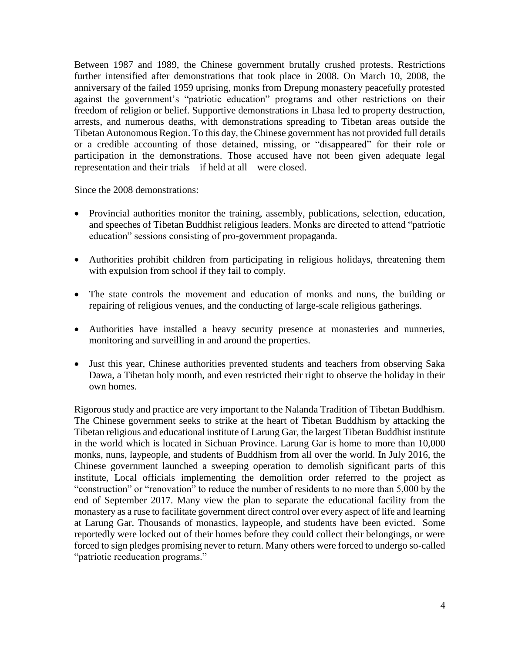Between 1987 and 1989, the Chinese government brutally crushed protests. Restrictions further intensified after demonstrations that took place in 2008. On March 10, 2008, the anniversary of the failed 1959 uprising, monks from Drepung monastery peacefully protested against the government's "patriotic education" programs and other restrictions on their freedom of religion or belief. Supportive demonstrations in Lhasa led to property destruction, arrests, and numerous deaths, with demonstrations spreading to Tibetan areas outside the Tibetan Autonomous Region. To this day, the Chinese government has not provided full details or a credible accounting of those detained, missing, or "disappeared" for their role or participation in the demonstrations. Those accused have not been given adequate legal representation and their trials—if held at all—were closed.

Since the 2008 demonstrations:

- Provincial authorities monitor the training, assembly, publications, selection, education, and speeches of Tibetan Buddhist religious leaders. Monks are directed to attend "patriotic education" sessions consisting of pro-government propaganda.
- Authorities prohibit children from participating in religious holidays, threatening them with expulsion from school if they fail to comply.
- The state controls the movement and education of monks and nuns, the building or repairing of religious venues, and the conducting of large-scale religious gatherings.
- Authorities have installed a heavy security presence at monasteries and nunneries, monitoring and surveilling in and around the properties.
- Just this year, Chinese authorities prevented students and teachers from observing Saka Dawa, a Tibetan holy month, and even restricted their right to observe the holiday in their own homes.

Rigorous study and practice are very important to the Nalanda Tradition of Tibetan Buddhism. The Chinese government seeks to strike at the heart of Tibetan Buddhism by attacking the Tibetan religious and educational institute of Larung Gar, the largest Tibetan Buddhist institute in the world which is located in Sichuan Province. Larung Gar is home to more than 10,000 monks, nuns, laypeople, and students of Buddhism from all over the world. In July 2016, the Chinese government launched a sweeping operation to demolish significant parts of this institute, Local officials implementing the demolition order referred to the project as "construction" or "renovation" to reduce the number of residents to no more than 5,000 by the end of September 2017. Many view the plan to separate the educational facility from the monastery as a ruse to facilitate government direct control over every aspect of life and learning at Larung Gar. Thousands of monastics, laypeople, and students have been evicted. Some reportedly were locked out of their homes before they could collect their belongings, or were forced to sign pledges promising never to return. Many others were forced to undergo so-called "patriotic reeducation programs."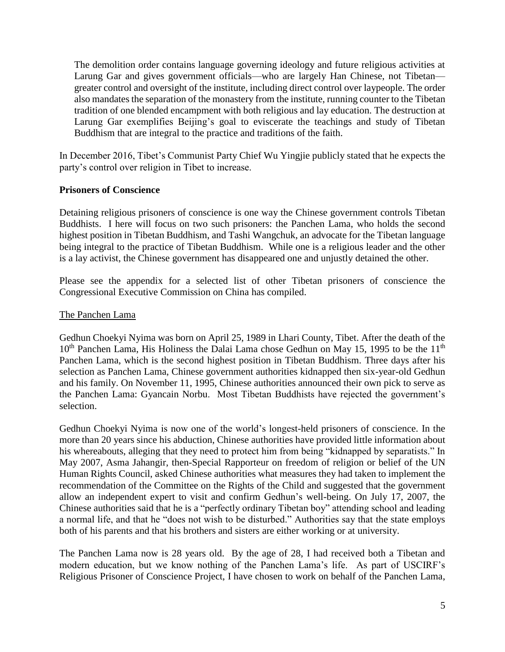The demolition order contains language governing ideology and future religious activities at Larung Gar and gives government officials—who are largely Han Chinese, not Tibetan greater control and oversight of the institute, including direct control over laypeople. The order also mandates the separation of the monastery from the institute, running counter to the Tibetan tradition of one blended encampment with both religious and lay education. The destruction at Larung Gar exemplifies Beijing's goal to eviscerate the teachings and study of Tibetan Buddhism that are integral to the practice and traditions of the faith.

In December 2016, Tibet's Communist Party Chief Wu Yingjie publicly stated that he expects the party's control over religion in Tibet to increase.

## **Prisoners of Conscience**

Detaining religious prisoners of conscience is one way the Chinese government controls Tibetan Buddhists. I here will focus on two such prisoners: the Panchen Lama, who holds the second highest position in Tibetan Buddhism, and Tashi Wangchuk, an advocate for the Tibetan language being integral to the practice of Tibetan Buddhism. While one is a religious leader and the other is a lay activist, the Chinese government has disappeared one and unjustly detained the other.

Please see the appendix for a selected list of other Tibetan prisoners of conscience the Congressional Executive Commission on China has compiled.

#### The Panchen Lama

Gedhun Choekyi Nyima was born on April 25, 1989 in Lhari County, Tibet. After the death of the  $10<sup>th</sup>$  Panchen Lama, His Holiness the Dalai Lama chose Gedhun on May 15, 1995 to be the 11<sup>th</sup> Panchen Lama, which is the second highest position in Tibetan Buddhism. Three days after his selection as Panchen Lama, Chinese government authorities kidnapped then six-year-old Gedhun and his family. On November 11, 1995, Chinese authorities announced their own pick to serve as the Panchen Lama: Gyancain Norbu. Most Tibetan Buddhists have rejected the government's selection.

Gedhun Choekyi Nyima is now one of the world's longest-held prisoners of conscience. In the more than 20 years since his abduction, Chinese authorities have provided little information about his whereabouts, alleging that they need to protect him from being "kidnapped by separatists." In May 2007, Asma Jahangir, then-Special Rapporteur on freedom of religion or belief of the UN Human Rights Council, asked Chinese authorities what measures they had taken to implement the recommendation of the Committee on the Rights of the Child and suggested that the government allow an independent expert to visit and confirm Gedhun's well-being. On July 17, 2007, the Chinese authorities said that he is a "perfectly ordinary Tibetan boy" attending school and leading a normal life, and that he "does not wish to be disturbed." Authorities say that the state employs both of his parents and that his brothers and sisters are either working or at university.

The Panchen Lama now is 28 years old. By the age of 28, I had received both a Tibetan and modern education, but we know nothing of the Panchen Lama's life. As part of USCIRF's Religious Prisoner of Conscience Project, I have chosen to work on behalf of the Panchen Lama,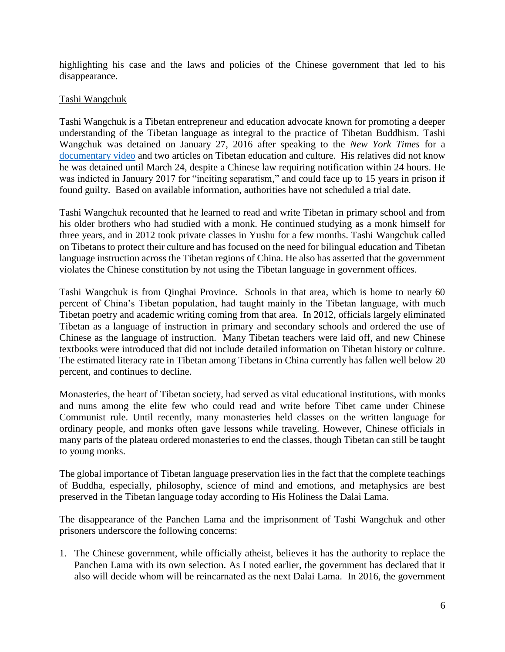highlighting his case and the laws and policies of the Chinese government that led to his disappearance.

#### Tashi Wangchuk

Tashi Wangchuk is a Tibetan entrepreneur and education advocate known for promoting a deeper understanding of the Tibetan language as integral to the practice of Tibetan Buddhism. Tashi Wangchuk was detained on January 27, 2016 after speaking to the *New York Times* for a [documentary video](https://www.nytimes.com/video/world/asia/100000004031427/a-tibetans-journey-for-justice.html) and two articles on Tibetan education and culture. His relatives did not know he was detained until March 24, despite a Chinese law requiring notification within 24 hours. He was indicted in January 2017 for "inciting separatism," and could face up to 15 years in prison if found guilty. Based on available information, authorities have not scheduled a trial date.

Tashi Wangchuk recounted that he learned to read and write Tibetan in primary school and from his older brothers who had studied with a monk. He continued studying as a monk himself for three years, and in 2012 took private classes in Yushu for a few months. Tashi Wangchuk called on Tibetans to protect their culture and has focused on the need for bilingual education and Tibetan language instruction across the Tibetan regions of China. He also has asserted that the government violates the Chinese constitution by not using the Tibetan language in government offices.

Tashi Wangchuk is from Qinghai Province. Schools in that area, which is home to nearly 60 percent of China's Tibetan population, had taught mainly in the Tibetan language, with much Tibetan poetry and academic writing coming from that area. In 2012, officials largely eliminated Tibetan as a language of instruction in primary and secondary schools and ordered the use of Chinese as the language of instruction. Many Tibetan teachers were laid off, and new Chinese textbooks were introduced that did not include detailed information on Tibetan history or culture. The estimated literacy rate in Tibetan among Tibetans in China currently has fallen well below 20 percent, and continues to decline.

Monasteries, the heart of Tibetan society, had served as vital educational institutions, with monks and nuns among the elite few who could read and write before Tibet came under Chinese Communist rule. Until recently, many monasteries held classes on the written language for ordinary people, and monks often gave lessons while traveling. However, Chinese officials in many parts of the plateau ordered monasteries to end the classes, though Tibetan can still be taught to young monks.

The global importance of Tibetan language preservation lies in the fact that the complete teachings of Buddha, especially, philosophy, science of mind and emotions, and metaphysics are best preserved in the Tibetan language today according to His Holiness the Dalai Lama.

The disappearance of the Panchen Lama and the imprisonment of Tashi Wangchuk and other prisoners underscore the following concerns:

1. The Chinese government, while officially atheist, believes it has the authority to replace the Panchen Lama with its own selection. As I noted earlier, the government has declared that it also will decide whom will be reincarnated as the next Dalai Lama. In 2016, the government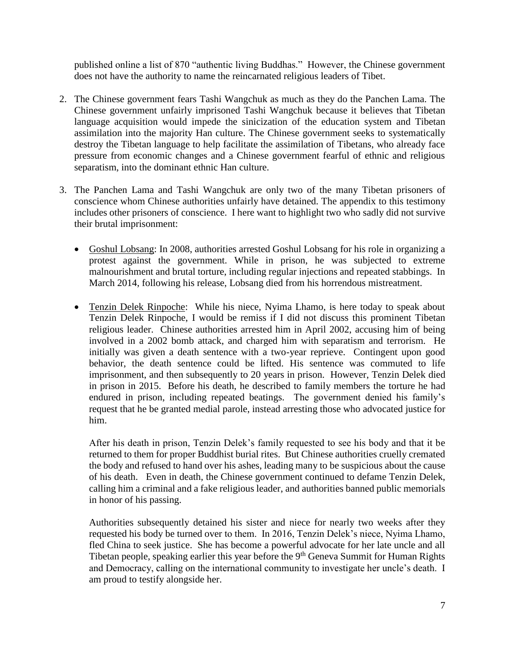published online a list of 870 "authentic living Buddhas." However, the Chinese government does not have the authority to name the reincarnated religious leaders of Tibet.

- 2. The Chinese government fears Tashi Wangchuk as much as they do the Panchen Lama. The Chinese government unfairly imprisoned Tashi Wangchuk because it believes that Tibetan language acquisition would impede the sinicization of the education system and Tibetan assimilation into the majority Han culture. The Chinese government seeks to systematically destroy the Tibetan language to help facilitate the assimilation of Tibetans, who already face pressure from economic changes and a Chinese government fearful of ethnic and religious separatism, into the dominant ethnic Han culture.
- 3. The Panchen Lama and Tashi Wangchuk are only two of the many Tibetan prisoners of conscience whom Chinese authorities unfairly have detained. The appendix to this testimony includes other prisoners of conscience. I here want to highlight two who sadly did not survive their brutal imprisonment:
	- Goshul Lobsang: In 2008, authorities arrested Goshul Lobsang for his role in organizing a protest against the government. While in prison, he was subjected to extreme malnourishment and brutal torture, including regular injections and repeated stabbings. In March 2014, following his release, Lobsang died from his horrendous mistreatment.
	- Tenzin Delek Rinpoche: While his niece, Nyima Lhamo, is here today to speak about Tenzin Delek Rinpoche, I would be remiss if I did not discuss this prominent Tibetan religious leader. Chinese authorities arrested him in April 2002, accusing him of being involved in a 2002 bomb attack, and charged him with separatism and terrorism. He initially was given a death sentence with a two-year reprieve. Contingent upon good behavior, the death sentence could be lifted. His sentence was commuted to life imprisonment, and then subsequently to 20 years in prison. However, Tenzin Delek died in prison in 2015. Before his death, he described to family members the torture he had endured in prison, including repeated beatings. The government denied his family's request that he be granted medial parole, instead arresting those who advocated justice for him.

After his death in prison, Tenzin Delek's family requested to see his body and that it be returned to them for proper Buddhist burial rites. But Chinese authorities cruelly cremated the body and refused to hand over his ashes, leading many to be suspicious about the cause of his death. Even in death, the Chinese government continued to defame Tenzin Delek, calling him a criminal and a fake religious leader, and authorities banned public memorials in honor of his passing.

Authorities subsequently detained his sister and niece for nearly two weeks after they requested his body be turned over to them. In 2016, Tenzin Delek's niece, Nyima Lhamo, fled China to seek justice. She has become a powerful advocate for her late uncle and all Tibetan people, speaking earlier this year before the 9<sup>th</sup> Geneva Summit for Human Rights and Democracy, calling on the international community to investigate her uncle's death. I am proud to testify alongside her.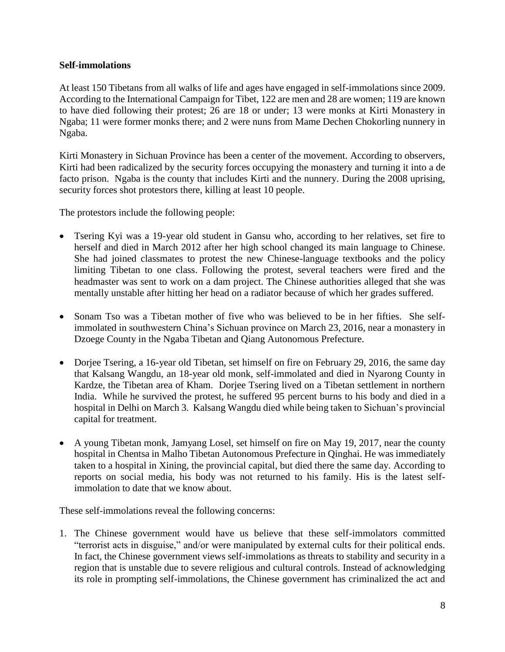#### **Self-immolations**

At least 150 Tibetans from all walks of life and ages have engaged in self-immolations since 2009. According to the International Campaign for Tibet, 122 are men and 28 are women; 119 are known to have died following their protest; 26 are 18 or under; 13 were monks at Kirti Monastery in Ngaba; 11 were former monks there; and 2 were nuns from Mame Dechen Chokorling nunnery in Ngaba.

Kirti Monastery in Sichuan Province has been a center of the movement. According to observers, Kirti had been radicalized by the security forces occupying the monastery and turning it into a de facto prison. Ngaba is the county that includes Kirti and the nunnery. During the 2008 uprising, security forces shot protestors there, killing at least 10 people.

The protestors include the following people:

- Tsering Kyi was a 19-year old student in Gansu who, according to her relatives, set fire to herself and died in March 2012 after her high school changed its main language to Chinese. She had joined classmates to protest the new Chinese-language textbooks and the policy limiting Tibetan to one class. Following the protest, several teachers were fired and the headmaster was sent to work on a dam project. The Chinese authorities alleged that she was mentally unstable after hitting her head on a radiator because of which her grades suffered.
- Sonam Tso was a Tibetan mother of five who was believed to be in her fifties. She selfimmolated in southwestern China's Sichuan province on March 23, 2016, near a monastery in Dzoege County in the Ngaba Tibetan and Qiang Autonomous Prefecture.
- Dorjee Tsering, a 16-year old Tibetan, set himself on fire on February 29, 2016, the same day that Kalsang Wangdu, an 18-year old monk, self-immolated and died in Nyarong County in Kardze, the Tibetan area of Kham. Dorjee Tsering lived on a Tibetan settlement in northern India. While he survived the protest, he suffered 95 percent burns to his body and died in a hospital in Delhi on March 3. Kalsang Wangdu died while being taken to Sichuan's provincial capital for treatment.
- A young Tibetan monk, Jamyang Losel, set himself on fire on May 19, 2017, near the county hospital in Chentsa in Malho Tibetan Autonomous Prefecture in Qinghai. He was immediately taken to a hospital in Xining, the provincial capital, but died there the same day. According to reports on social media, his body was not returned to his family. His is the latest selfimmolation to date that we know about.

These self-immolations reveal the following concerns:

1. The Chinese government would have us believe that these self-immolators committed "terrorist acts in disguise," and/or were manipulated by external cults for their political ends. In fact, the Chinese government views self-immolations as threats to stability and security in a region that is unstable due to severe religious and cultural controls. Instead of acknowledging its role in prompting self-immolations, the Chinese government has criminalized the act and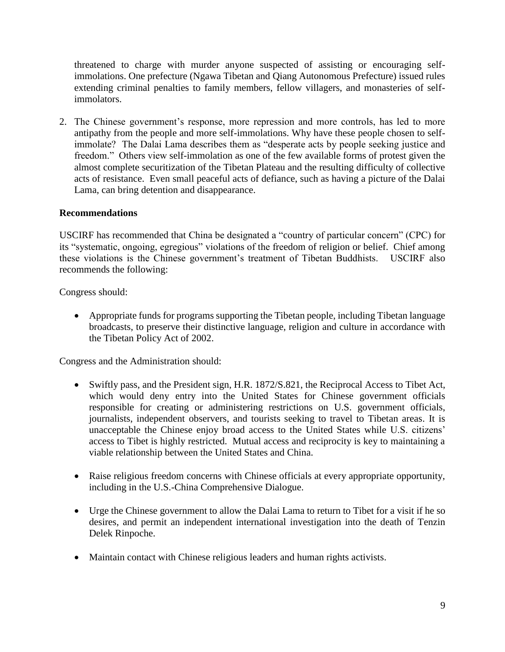threatened to charge with murder anyone suspected of assisting or encouraging selfimmolations. One prefecture (Ngawa Tibetan and Qiang Autonomous Prefecture) issued rules extending criminal penalties to family members, fellow villagers, and monasteries of selfimmolators.

2. The Chinese government's response, more repression and more controls, has led to more antipathy from the people and more self-immolations. Why have these people chosen to selfimmolate? The Dalai Lama describes them as "desperate acts by people seeking justice and freedom." Others view self-immolation as one of the few available forms of protest given the almost complete securitization of the Tibetan Plateau and the resulting difficulty of collective acts of resistance. Even small peaceful acts of defiance, such as having a picture of the Dalai Lama, can bring detention and disappearance.

## **Recommendations**

USCIRF has recommended that China be designated a "country of particular concern" (CPC) for its "systematic, ongoing, egregious" violations of the freedom of religion or belief. Chief among these violations is the Chinese government's treatment of Tibetan Buddhists. USCIRF also recommends the following:

Congress should:

 Appropriate funds for programs supporting the Tibetan people, including Tibetan language broadcasts, to preserve their distinctive language, religion and culture in accordance with the Tibetan Policy Act of 2002.

Congress and the Administration should:

- Swiftly pass, and the President sign, H.R. 1872/S.821, the Reciprocal Access to Tibet Act, which would deny entry into the United States for Chinese government officials responsible for creating or administering restrictions on U.S. government officials, journalists, independent observers, and tourists seeking to travel to Tibetan areas. It is unacceptable the Chinese enjoy broad access to the United States while U.S. citizens' access to Tibet is highly restricted. Mutual access and reciprocity is key to maintaining a viable relationship between the United States and China.
- Raise religious freedom concerns with Chinese officials at every appropriate opportunity, including in the U.S.-China Comprehensive Dialogue.
- Urge the Chinese government to allow the Dalai Lama to return to Tibet for a visit if he so desires, and permit an independent international investigation into the death of Tenzin Delek Rinpoche.
- Maintain contact with Chinese religious leaders and human rights activists.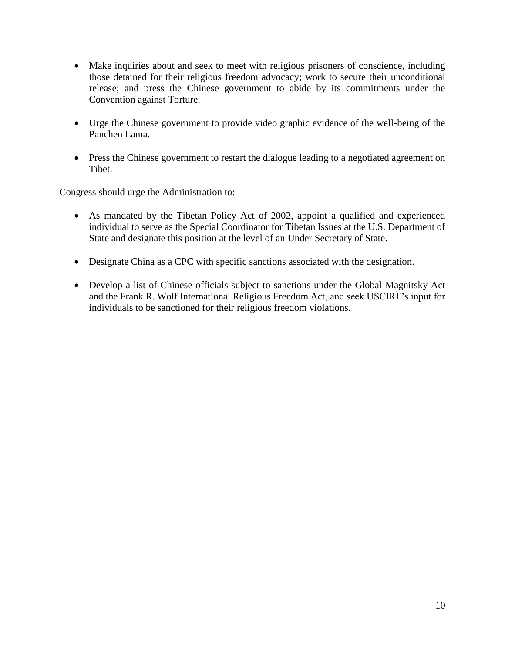- Make inquiries about and seek to meet with religious prisoners of conscience, including those detained for their religious freedom advocacy; work to secure their unconditional release; and press the Chinese government to abide by its commitments under the Convention against Torture.
- Urge the Chinese government to provide video graphic evidence of the well-being of the Panchen Lama.
- Press the Chinese government to restart the dialogue leading to a negotiated agreement on Tibet.

Congress should urge the Administration to:

- As mandated by the Tibetan Policy Act of 2002, appoint a qualified and experienced individual to serve as the Special Coordinator for Tibetan Issues at the U.S. Department of State and designate this position at the level of an Under Secretary of State.
- Designate China as a CPC with specific sanctions associated with the designation.
- Develop a list of Chinese officials subject to sanctions under the Global Magnitsky Act and the Frank R. Wolf International Religious Freedom Act, and seek USCIRF's input for individuals to be sanctioned for their religious freedom violations.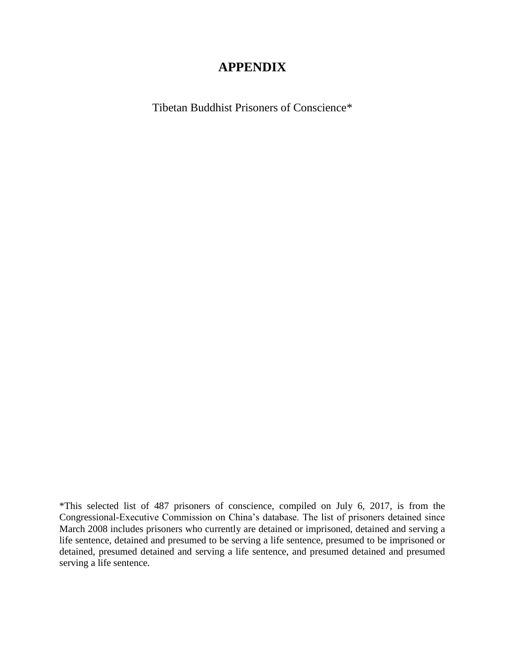# **APPENDIX**

Tibetan Buddhist Prisoners of Conscience\*

\*This selected list of 487 prisoners of conscience, compiled on July 6, 2017, is from the Congressional-Executive Commission on China's database. The list of prisoners detained since March 2008 includes prisoners who currently are detained or imprisoned, detained and serving a life sentence, detained and presumed to be serving a life sentence, presumed to be imprisoned or detained, presumed detained and serving a life sentence, and presumed detained and presumed serving a life sentence.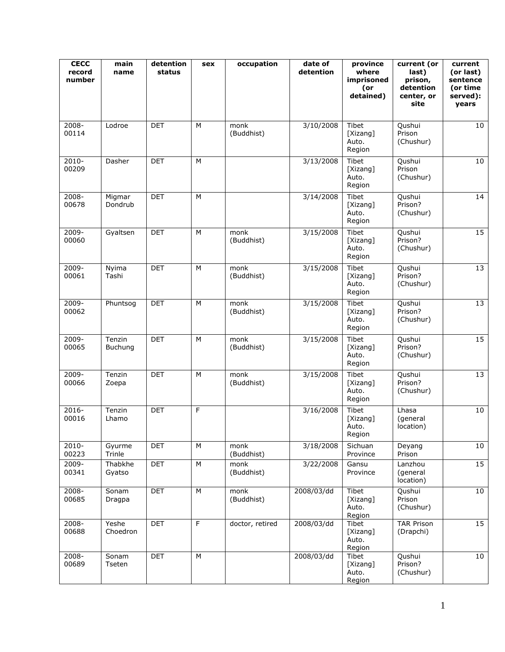| <b>CECC</b><br>record<br>number | main<br>name             | detention<br>status | sex            | occupation         | date of<br>detention | province<br>where<br>imprisoned<br>(or<br>detained) | current (or<br>last)<br>prison,<br>detention<br>center, or<br>site | current<br>(or last)<br>sentence<br>(or time<br>served):<br>years |
|---------------------------------|--------------------------|---------------------|----------------|--------------------|----------------------|-----------------------------------------------------|--------------------------------------------------------------------|-------------------------------------------------------------------|
| $2008 -$<br>00114               | Lodroe                   | <b>DET</b>          | M              | monk<br>(Buddhist) | 3/10/2008            | Tibet<br>[Xizang]<br>Auto.<br>Region                | Qushui<br>Prison<br>(Chushur)                                      | 10 <sub>1</sub>                                                   |
| $2010 -$<br>00209               | Dasher                   | <b>DET</b>          | M              |                    | 3/13/2008            | Tibet<br>[Xizang]<br>Auto.<br>Region                | Qushui<br>Prison<br>(Chushur)                                      | 10                                                                |
| 2008-<br>00678                  | Migmar<br>Dondrub        | <b>DET</b>          | M              |                    | 3/14/2008            | Tibet<br>[Xizang]<br>Auto.<br>Region                | Qushui<br>Prison?<br>(Chushur)                                     | 14                                                                |
| $2009 -$<br>00060               | Gyaltsen                 | <b>DET</b>          | M              | monk<br>(Buddhist) | 3/15/2008            | Tibet<br>[Xizang]<br>Auto.<br>Region                | Qushui<br>Prison?<br>(Chushur)                                     | 15                                                                |
| $2009 -$<br>00061               | Nyima<br>Tashi           | <b>DET</b>          | M              | monk<br>(Buddhist) | 3/15/2008            | Tibet<br>[Xizang]<br>Auto.<br>Region                | Qushui<br>Prison?<br>(Chushur)                                     | 13                                                                |
| $2009 -$<br>00062               | Phuntsog                 | <b>DET</b>          | M              | monk<br>(Buddhist) | 3/15/2008            | <b>Tibet</b><br>[Xizang]<br>Auto.<br>Region         | Qushui<br>Prison?<br>(Chushur)                                     | 13                                                                |
| 2009-<br>00065                  | Tenzin<br><b>Buchung</b> | <b>DET</b>          | M              | monk<br>(Buddhist) | 3/15/2008            | Tibet<br>[Xizang]<br>Auto.<br>Region                | Qushui<br>Prison?<br>(Chushur)                                     | 15                                                                |
| $2009 -$<br>00066               | Tenzin<br>Zoepa          | <b>DET</b>          | M              | monk<br>(Buddhist) | 3/15/2008            | Tibet<br>[Xizang]<br>Auto.<br>Region                | Qushui<br>Prison?<br>(Chushur)                                     | 13                                                                |
| 2016-<br>00016                  | Tenzin<br>Lhamo          | <b>DET</b>          | F              |                    | 3/16/2008            | Tibet<br>[Xizang]<br>Auto.<br>Region                | Lhasa<br>(general<br>location)                                     | 10                                                                |
| $2010 -$<br>00223               | Gyurme<br>Trinle         | <b>DET</b>          | М              | monk<br>(Buddhist) | 3/18/2008            | Sichuan<br>Province                                 | Deyang<br>Prison                                                   | 10                                                                |
| 2009-<br>00341                  | Thabkhe<br>Gyatso        | <b>DET</b>          | ${\sf M}$      | monk<br>(Buddhist) | 3/22/2008            | Gansu<br>Province                                   | Lanzhou<br>(general<br>location)                                   | 15                                                                |
| 2008-<br>00685                  | Sonam<br>Dragpa          | <b>DET</b>          | M              | monk<br>(Buddhist) | 2008/03/dd           | Tibet<br>[Xizang]<br>Auto.<br>Region                | Qushui<br>Prison<br>(Chushur)                                      | 10                                                                |
| $2008 -$<br>00688               | Yeshe<br>Choedron        | <b>DET</b>          | $\overline{F}$ | doctor, retired    | 2008/03/dd           | Tibet<br>[Xizang]<br>Auto.<br>Region                | <b>TAR Prison</b><br>(Drapchi)                                     | 15                                                                |
| 2008-<br>00689                  | Sonam<br>Tseten          | <b>DET</b>          | М              |                    | 2008/03/dd           | Tibet<br>[Xizang]<br>Auto.<br>Region                | Qushui<br>Prison?<br>(Chushur)                                     | 10                                                                |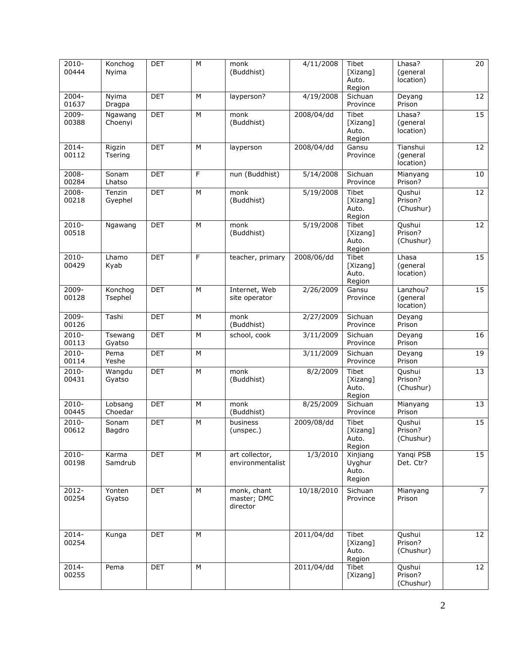| $2010 -$          | Konchog           | <b>DET</b> | M | monk                               | 4/11/2008  | Tibet               | Lhasa?                 | $\overline{20}$ |
|-------------------|-------------------|------------|---|------------------------------------|------------|---------------------|------------------------|-----------------|
| 00444             | Nyima             |            |   | (Buddhist)                         |            | [Xizang]            | (general               |                 |
|                   |                   |            |   |                                    |            | Auto.               | location)              |                 |
|                   |                   |            |   |                                    |            | Region              |                        |                 |
| $2004 -$<br>01637 | Nyima<br>Dragpa   | <b>DET</b> | M | layperson?                         | 4/19/2008  | Sichuan<br>Province | Deyang<br>Prison       | $\overline{12}$ |
| 2009-             | Ngawang           | <b>DET</b> | М | monk                               | 2008/04/dd | Tibet               | Lhasa?                 | 15              |
| 00388             | Choenyi           |            |   | (Buddhist)                         |            | [Xizang]            | (general               |                 |
|                   |                   |            |   |                                    |            | Auto.               | location)              |                 |
|                   |                   |            |   |                                    |            | Region              |                        |                 |
| 2014-             | Rigzin            | <b>DET</b> | M | layperson                          | 2008/04/dd | Gansu               | Tianshui               | 12              |
| 00112             | Tsering           |            |   |                                    |            | Province            | (general               |                 |
|                   |                   |            |   |                                    |            |                     | location)              |                 |
| 2008-             | Sonam             | <b>DET</b> | F | nun (Buddhist)                     | 5/14/2008  | Sichuan             | Mianyang               | 10              |
| 00284             | Lhatso            |            |   |                                    |            | Province            | Prison?                |                 |
| $2008 -$          | Tenzin            | <b>DET</b> | M | monk                               | 5/19/2008  | Tibet               | Qushui                 | $\overline{12}$ |
| 00218             | Gyephel           |            |   | (Buddhist)                         |            | [Xizang]            | Prison?                |                 |
|                   |                   |            |   |                                    |            | Auto.               | (Chushur)              |                 |
| $2010 -$          | Ngawang           | <b>DET</b> | M | monk                               | 5/19/2008  | Region<br>Tibet     | Qushui                 | $\overline{12}$ |
| 00518             |                   |            |   | (Buddhist)                         |            | [Xizang]            | Prison?                |                 |
|                   |                   |            |   |                                    |            | Auto.               | (Chushur)              |                 |
|                   |                   |            |   |                                    |            | Region              |                        |                 |
| 2010-             | Lhamo             | <b>DET</b> | F | teacher, primary                   | 2008/06/dd | Tibet               | Lhasa                  | 15              |
| 00429             | Kyab              |            |   |                                    |            | [Xizang]            | (general               |                 |
|                   |                   |            |   |                                    |            | Auto.               | location)              |                 |
|                   |                   |            |   |                                    |            | Region              |                        |                 |
| $2009 -$          | Konchog           | <b>DET</b> | M | Internet, Web                      | 2/26/2009  | Gansu               | Lanzhou?               | 15              |
| 00128             | Tsephel           |            |   | site operator                      |            | Province            | (general<br>location)  |                 |
|                   |                   |            |   |                                    |            |                     |                        |                 |
| 2009-             | Tashi             | <b>DET</b> | М | monk                               | 2/27/2009  | Sichuan             | Deyang                 |                 |
| 00126             |                   |            |   | (Buddhist)                         |            | Province            | Prison                 |                 |
| 2010-<br>00113    | Tsewang<br>Gyatso | <b>DET</b> | М | school, cook                       | 3/11/2009  | Sichuan<br>Province | Deyang<br>Prison       | 16              |
|                   |                   |            |   |                                    |            |                     |                        |                 |
| 2010-<br>00114    | Pema<br>Yeshe     | <b>DET</b> | M |                                    | 3/11/2009  | Sichuan<br>Province | Deyang<br>Prison       | 19              |
| 2010-             |                   |            |   |                                    | 8/2/2009   | Tibet               |                        | 13              |
| 00431             | Wangdu<br>Gyatso  | <b>DET</b> | М | monk<br>(Buddhist)                 |            | [Xizang]            | Qushui<br>Prison?      |                 |
|                   |                   |            |   |                                    |            | Auto.               | (Chushur)              |                 |
|                   |                   |            |   |                                    |            | Region              |                        |                 |
| 2010-             | Lobsang           | <b>DET</b> | M | monk                               | 8/25/2009  | Sichuan             | Mianyang               | 13              |
| 00445             | Choedar           |            |   | (Buddhist)                         |            | Province            | Prison                 |                 |
| $2010 -$          | Sonam             | <b>DET</b> | M | business                           | 2009/08/dd | Tibet               | Qushui                 | 15              |
| 00612             | Bagdro            |            |   | (unspec.)                          |            | [Xizang]            | Prison?                |                 |
|                   |                   |            |   |                                    |            | Auto.               | (Chushur)              |                 |
|                   |                   |            |   |                                    |            | Region              |                        | 15              |
| 2010-<br>00198    | Karma<br>Samdrub  | <b>DET</b> | M | art collector,<br>environmentalist | 1/3/2010   | Xinjiang<br>Uyghur  | Yangi PSB<br>Det. Ctr? |                 |
|                   |                   |            |   |                                    |            | Auto.               |                        |                 |
|                   |                   |            |   |                                    |            | Region              |                        |                 |
| 2012-             | Yonten            | <b>DET</b> | M | monk, chant                        | 10/18/2010 | Sichuan             | Mianyang               | $\overline{7}$  |
| 00254             | Gyatso            |            |   | master; DMC                        |            | Province            | Prison                 |                 |
|                   |                   |            |   | director                           |            |                     |                        |                 |
|                   |                   |            |   |                                    |            |                     |                        |                 |
|                   |                   |            |   |                                    |            |                     |                        |                 |
| 2014-             | Kunga             | <b>DET</b> | M |                                    | 2011/04/dd | Tibet               | Qushui                 | 12              |
| 00254             |                   |            |   |                                    |            | [Xizang]            | Prison?                |                 |
|                   |                   |            |   |                                    |            | Auto.               | (Chushur)              |                 |
|                   |                   |            |   |                                    |            | Region              |                        |                 |
| $2014 -$          | Pema              | <b>DET</b> | М |                                    | 2011/04/dd | Tibet               | Qushui                 | 12              |
| 00255             |                   |            |   |                                    |            | [Xizang]            | Prison?<br>(Chushur)   |                 |
|                   |                   |            |   |                                    |            |                     |                        |                 |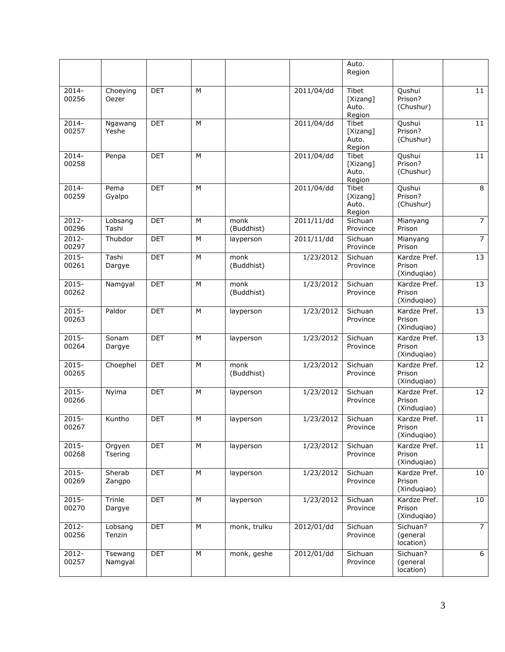|                   |                    |            |   |                    |            | Auto.<br>Region                      |                                       |                 |
|-------------------|--------------------|------------|---|--------------------|------------|--------------------------------------|---------------------------------------|-----------------|
| $2014 -$<br>00256 | Choeying<br>Oezer  | <b>DET</b> | M |                    | 2011/04/dd | Tibet<br>[Xizang]<br>Auto.<br>Region | Qushui<br>Prison?<br>(Chushur)        | $\overline{11}$ |
| 2014-<br>00257    | Ngawang<br>Yeshe   | <b>DET</b> | M |                    | 2011/04/dd | Tibet<br>[Xizang]<br>Auto.<br>Region | Qushui<br>Prison?<br>(Chushur)        | 11              |
| $2014 -$<br>00258 | Penpa              | <b>DET</b> | M |                    | 2011/04/dd | Tibet<br>[Xizang]<br>Auto.<br>Region | Qushui<br>Prison?<br>(Chushur)        | 11              |
| $2014 -$<br>00259 | Pema<br>Gyalpo     | <b>DET</b> | M |                    | 2011/04/dd | Tibet<br>[Xizang]<br>Auto.<br>Region | Qushui<br>Prison?<br>(Chushur)        | 8               |
| 2012-<br>00296    | Lobsang<br>Tashi   | <b>DET</b> | M | monk<br>(Buddhist) | 2011/11/dd | Sichuan<br>Province                  | Mianyang<br>Prison                    | $\overline{7}$  |
| $2012 -$<br>00297 | Thubdor            | <b>DET</b> | M | layperson          | 2011/11/dd | Sichuan<br>Province                  | Mianyang<br>Prison                    | $\overline{7}$  |
| 2015-<br>00261    | Tashi<br>Dargye    | <b>DET</b> | M | monk<br>(Buddhist) | 1/23/2012  | Sichuan<br>Province                  | Kardze Pref.<br>Prison<br>(Xinduqiao) | 13              |
| $2015 -$<br>00262 | Namgyal            | <b>DET</b> | M | monk<br>(Buddhist) | 1/23/2012  | Sichuan<br>Province                  | Kardze Pref.<br>Prison<br>(Xinduqiao) | 13              |
| 2015-<br>00263    | Paldor             | <b>DET</b> | M | layperson          | 1/23/2012  | Sichuan<br>Province                  | Kardze Pref.<br>Prison<br>(Xinduqiao) | 13              |
| $2015 -$<br>00264 | Sonam<br>Dargye    | <b>DET</b> | M | layperson          | 1/23/2012  | Sichuan<br>Province                  | Kardze Pref.<br>Prison<br>(Xinduqiao) | 13              |
| $2015 -$<br>00265 | Choephel           | <b>DET</b> | M | monk<br>(Buddhist) | 1/23/2012  | Sichuan<br>Province                  | Kardze Pref.<br>Prison<br>(Xinduqiao) | 12              |
| $2015 -$<br>00266 | Nyima              | <b>DET</b> | M | layperson          | 1/23/2012  | Sichuan<br>Province                  | Kardze Pref.<br>Prison<br>(Xinduqiao) | 12              |
| $2015 -$<br>00267 | Kuntho             | <b>DET</b> | M | layperson          | 1/23/2012  | Sichuan<br>Province                  | Kardze Pref.<br>Prison<br>(Xinduqiao) | 11              |
| $2015 -$<br>00268 | Orgyen<br>Tsering  | <b>DET</b> | М | layperson          | 1/23/2012  | Sichuan<br>Province                  | Kardze Pref.<br>Prison<br>(Xinduqiao) | 11              |
| $2015 -$<br>00269 | Sherab<br>Zangpo   | <b>DET</b> | М | layperson          | 1/23/2012  | Sichuan<br>Province                  | Kardze Pref.<br>Prison<br>(Xinduqiao) | 10              |
| 2015-<br>00270    | Trinle<br>Dargye   | <b>DET</b> | М | layperson          | 1/23/2012  | Sichuan<br>Province                  | Kardze Pref.<br>Prison<br>(Xinduqiao) | 10              |
| 2012-<br>00256    | Lobsang<br>Tenzin  | <b>DET</b> | М | monk, trulku       | 2012/01/dd | Sichuan<br>Province                  | Sichuan?<br>(general<br>location)     | $\overline{7}$  |
| 2012-<br>00257    | Tsewang<br>Namgyal | <b>DET</b> | М | monk, geshe        | 2012/01/dd | Sichuan<br>Province                  | Sichuan?<br>(general<br>location)     | 6               |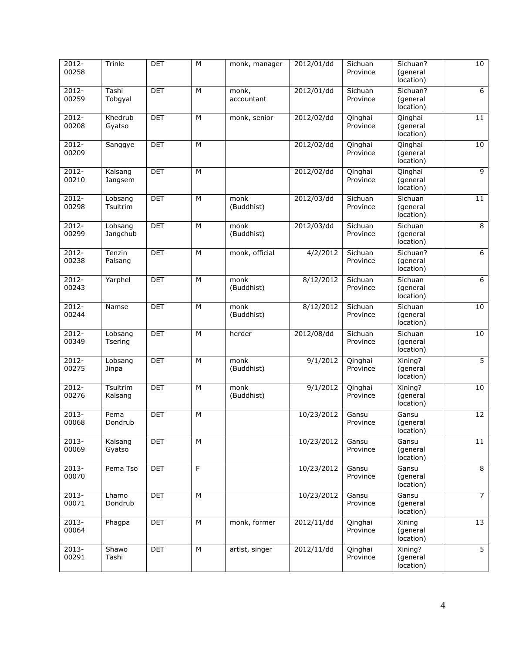| 2012-<br>00258    | Trinle              | <b>DET</b> | M | monk, manager       | 2012/01/dd | Sichuan<br>Province | Sichuan?<br>(general<br>location) | 10             |
|-------------------|---------------------|------------|---|---------------------|------------|---------------------|-----------------------------------|----------------|
| $2012 -$<br>00259 | Tashi<br>Tobgyal    | <b>DET</b> | M | monk,<br>accountant | 2012/01/dd | Sichuan<br>Province | Sichuan?<br>(general<br>location) | $\overline{6}$ |
| 2012-<br>00208    | Khedrub<br>Gyatso   | <b>DET</b> | M | monk, senior        | 2012/02/dd | Qinghai<br>Province | Qinghai<br>(general<br>location)  | 11             |
| $2012 -$<br>00209 | Sanggye             | <b>DET</b> | M |                     | 2012/02/dd | Qinghai<br>Province | Qinghai<br>(general<br>location)  | 10             |
| 2012-<br>00210    | Kalsang<br>Jangsem  | <b>DET</b> | M |                     | 2012/02/dd | Qinghai<br>Province | Qinghai<br>(general<br>location)  | 9              |
| 2012-<br>00298    | Lobsang<br>Tsultrim | <b>DET</b> | M | monk<br>(Buddhist)  | 2012/03/dd | Sichuan<br>Province | Sichuan<br>(general<br>location)  | 11             |
| 2012-<br>00299    | Lobsang<br>Jangchub | <b>DET</b> | M | monk<br>(Buddhist)  | 2012/03/dd | Sichuan<br>Province | Sichuan<br>(general<br>location)  | 8              |
| $2012 -$<br>00238 | Tenzin<br>Palsang   | <b>DET</b> | M | monk, official      | 4/2/2012   | Sichuan<br>Province | Sichuan?<br>(general<br>location) | 6              |
| 2012-<br>00243    | Yarphel             | <b>DET</b> | M | monk<br>(Buddhist)  | 8/12/2012  | Sichuan<br>Province | Sichuan<br>(general<br>location)  | 6              |
| 2012-<br>00244    | Namse               | <b>DET</b> | M | monk<br>(Buddhist)  | 8/12/2012  | Sichuan<br>Province | Sichuan<br>(general<br>location)  | 10             |
| $2012 -$<br>00349 | Lobsang<br>Tsering  | <b>DET</b> | M | herder              | 2012/08/dd | Sichuan<br>Province | Sichuan<br>(general<br>location)  | 10             |
| 2012-<br>00275    | Lobsang<br>Jinpa    | <b>DET</b> | M | monk<br>(Buddhist)  | 9/1/2012   | Qinghai<br>Province | Xining?<br>(general<br>location)  | $\overline{5}$ |
| $2012 -$<br>00276 | Tsultrim<br>Kalsang | <b>DET</b> | M | monk<br>(Buddhist)  | 9/1/2012   | Qinghai<br>Province | Xining?<br>(general<br>location)  | 10             |
| 2013-<br>00068    | Pema<br>Dondrub     | <b>DET</b> | M |                     | 10/23/2012 | Gansu<br>Province   | Gansu<br>(general<br>location)    | 12             |
| $2013 -$<br>00069 | Kalsang<br>Gyatso   | <b>DET</b> | M |                     | 10/23/2012 | Gansu<br>Province   | Gansu<br>(general<br>location)    | 11             |
| $2013 -$<br>00070 | Pema Tso            | <b>DET</b> | F |                     | 10/23/2012 | Gansu<br>Province   | Gansu<br>(general<br>location)    | 8              |
| $2013 -$<br>00071 | Lhamo<br>Dondrub    | <b>DET</b> | M |                     | 10/23/2012 | Gansu<br>Province   | Gansu<br>(general<br>location)    | 7 <sup>7</sup> |
| 2013-<br>00064    | Phagpa              | <b>DET</b> | М | monk, former        | 2012/11/dd | Qinghai<br>Province | Xining<br>(general<br>location)   | 13             |
| 2013-<br>00291    | Shawo<br>Tashi      | <b>DET</b> | М | artist, singer      | 2012/11/dd | Qinghai<br>Province | Xining?<br>(general<br>location)  | 5              |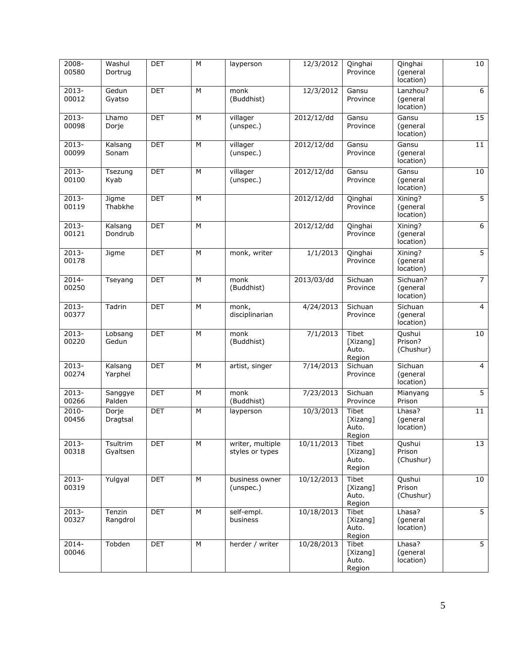| $2008 -$<br>00580 | Washul<br>Dortrug    | <b>DET</b> | M | layperson                           | 12/3/2012  | Qinghai<br>Province                  | Qinghai<br>(general<br>location)  | 10             |
|-------------------|----------------------|------------|---|-------------------------------------|------------|--------------------------------------|-----------------------------------|----------------|
| 2013-<br>00012    | Gedun<br>Gyatso      | <b>DET</b> | M | monk<br>(Buddhist)                  | 12/3/2012  | Gansu<br>Province                    | Lanzhou?<br>(general<br>location) | $\overline{6}$ |
| 2013-<br>00098    | Lhamo<br>Dorje       | <b>DET</b> | M | villager<br>(unspec.)               | 2012/12/dd | Gansu<br>Province                    | Gansu<br>(general<br>location)    | 15             |
| 2013-<br>00099    | Kalsang<br>Sonam     | <b>DET</b> | M | villager<br>(unspec.)               | 2012/12/dd | Gansu<br>Province                    | Gansu<br>(general<br>location)    | 11             |
| 2013-<br>00100    | Tsezung<br>Kyab      | <b>DET</b> | M | villager<br>(unspec.)               | 2012/12/dd | Gansu<br>Province                    | Gansu<br>(general<br>location)    | 10             |
| 2013-<br>00119    | Jigme<br>Thabkhe     | <b>DET</b> | M |                                     | 2012/12/dd | Qinghai<br>Province                  | Xining?<br>(general<br>location)  | $\overline{5}$ |
| $2013 -$<br>00121 | Kalsang<br>Dondrub   | <b>DET</b> | M |                                     | 2012/12/dd | Qinghai<br>Province                  | Xining?<br>(general<br>location)  | 6              |
| 2013-<br>00178    | Jigme                | <b>DET</b> | M | monk, writer                        | 1/1/2013   | Qinghai<br>Province                  | Xining?<br>(general<br>location)  | 5 <sup>1</sup> |
| $2014 -$<br>00250 | Tseyang              | <b>DET</b> | M | monk<br>(Buddhist)                  | 2013/03/dd | Sichuan<br>Province                  | Sichuan?<br>(general<br>location) | $\overline{7}$ |
| 2013-<br>00377    | Tadrin               | <b>DET</b> | М | monk,<br>disciplinarian             | 4/24/2013  | Sichuan<br>Province                  | Sichuan<br>(general<br>location)  | $\overline{4}$ |
| $2013 -$<br>00220 | Lobsang<br>Gedun     | <b>DET</b> | M | monk<br>(Buddhist)                  | 7/1/2013   | Tibet<br>[Xizang]<br>Auto.<br>Region | Qushui<br>Prison?<br>(Chushur)    | 10             |
| $2013 -$<br>00274 | Kalsang<br>Yarphel   | <b>DET</b> | M | artist, singer                      | 7/14/2013  | Sichuan<br>Province                  | Sichuan<br>(general<br>location)  | $\overline{4}$ |
| $2013 -$<br>00266 | Sanggye<br>Palden    | <b>DET</b> | M | monk<br>(Buddhist)                  | 7/23/2013  | Sichuan<br>Province                  | Mianyang<br>Prison                | $\overline{5}$ |
| $2010 -$<br>00456 | Dorje<br>Dragtsal    | DET        | M | layperson                           | 10/3/2013  | Tibet<br>[Xizang]<br>Auto.<br>Region | Lhasa?<br>(general<br>location)   | 11             |
| 2013-<br>00318    | Tsultrim<br>Gyaltsen | <b>DET</b> | M | writer, multiple<br>styles or types | 10/11/2013 | Tibet<br>[Xizang]<br>Auto.<br>Region | Qushui<br>Prison<br>(Chushur)     | 13             |
| $2013 -$<br>00319 | Yulgyal              | DET        | М | business owner<br>(unspec.)         | 10/12/2013 | Tibet<br>[Xizang]<br>Auto.<br>Region | Qushui<br>Prison<br>(Chushur)     | 10             |
| $2013 -$<br>00327 | Tenzin<br>Rangdrol   | <b>DET</b> | M | self-empl.<br>business              | 10/18/2013 | Tibet<br>[Xizang]<br>Auto.<br>Region | Lhasa?<br>(general<br>location)   | 5 <sup>1</sup> |
| $2014 -$<br>00046 | Tobden               | <b>DET</b> | М | herder / writer                     | 10/28/2013 | Tibet<br>[Xizang]<br>Auto.<br>Region | Lhasa?<br>(general<br>location)   | 5 <sup>1</sup> |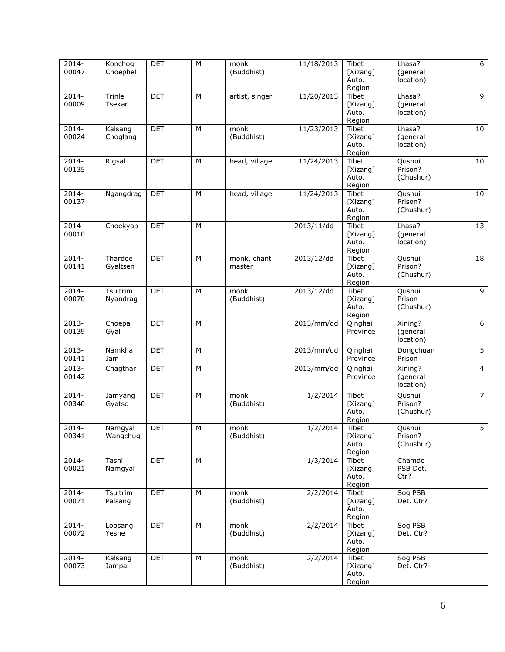| $2014 -$<br>00047            | Konchog<br>Choephel | <b>DET</b> | M         | monk<br>(Buddhist) | 11/18/2013 | Tibet<br>[Xizang]        | Lhasa?<br>(general    | 6              |
|------------------------------|---------------------|------------|-----------|--------------------|------------|--------------------------|-----------------------|----------------|
|                              |                     |            |           |                    |            | Auto.<br>Region          | location)             |                |
| $2014 -$                     | Trinle              | <b>DET</b> | M         | artist, singer     | 11/20/2013 | Tibet                    | Lhasa?                | 9              |
| 00009                        | Tsekar              |            |           |                    |            | [Xizang]<br>Auto.        | (general<br>location) |                |
|                              |                     |            |           |                    |            | Region                   |                       |                |
| 2014-<br>00024               | Kalsang<br>Choglang | <b>DET</b> | М         | monk<br>(Buddhist) | 11/23/2013 | Tibet<br>[Xizang]        | Lhasa?<br>(general    | 10             |
|                              |                     |            |           |                    |            | Auto.                    | location)             |                |
|                              |                     |            |           |                    |            | Region                   |                       |                |
| 2014-<br>00135               | Rigsal              | <b>DET</b> | M         | head, village      | 11/24/2013 | <b>Tibet</b><br>[Xizang] | Qushui<br>Prison?     | 10             |
|                              |                     |            |           |                    |            | Auto.                    | (Chushur)             |                |
| 2014-                        | Ngangdrag           | <b>DET</b> | M         | head, village      | 11/24/2013 | Region<br><b>Tibet</b>   | Qushui                | 10             |
| 00137                        |                     |            |           |                    |            | [Xizang]                 | Prison?               |                |
|                              |                     |            |           |                    |            | Auto.                    | (Chushur)             |                |
| $2014 -$                     | Choekyab            | <b>DET</b> | M         |                    | 2013/11/dd | Region<br><b>Tibet</b>   | Lhasa?                | 13             |
| 00010                        |                     |            |           |                    |            | [Xizang]                 | (general              |                |
|                              |                     |            |           |                    |            | Auto.<br>Region          | location)             |                |
| $2014 -$                     | Thardoe             | <b>DET</b> | M         | monk, chant        | 2013/12/dd | Tibet                    | Qushui                | 18             |
| 00141                        | Gyaltsen            |            |           | master             |            | [Xizang]                 | Prison?               |                |
|                              |                     |            |           |                    |            | Auto.<br>Region          | (Chushur)             |                |
| $2014 -$                     | Tsultrim            | <b>DET</b> | M         | monk               | 2013/12/dd | Tibet                    | Qushui                | 9              |
| 00070                        | Nyandrag            |            |           | (Buddhist)         |            | [Xizang]<br>Auto.        | Prison<br>(Chushur)   |                |
|                              |                     |            |           |                    |            | Region                   |                       |                |
| $2013 -$<br>00139            | Choepa<br>Gyal      | <b>DET</b> | M         |                    | 2013/mm/dd | Qinghai<br>Province      | Xining?<br>(general   | $\overline{6}$ |
|                              |                     |            |           |                    |            |                          | location)             |                |
| $2013 -$                     | Namkha              | <b>DET</b> | М         |                    | 2013/mm/dd | Qinghai                  | Dongchuan             | $\overline{5}$ |
| 00141<br>$2013 -$            | Jam                 |            | M         |                    |            | Province                 | Prison                | $\overline{4}$ |
| 00142                        | Chagthar            | <b>DET</b> |           |                    | 2013/mm/dd | Qinghai<br>Province      | Xining?<br>(general   |                |
|                              |                     |            |           |                    |            |                          | location)             |                |
| 2014-                        | Jamyang             | <b>DET</b> | М         | monk               | 1/2/2014   | Tibet                    | Qushui                | $\overline{7}$ |
| 00340                        | Gyatso              |            |           | (Buddhist)         |            | [Xizang]<br>Auto.        | Prison?<br>(Chushur)  |                |
|                              |                     |            |           |                    |            | Region                   |                       |                |
| $\overline{2}014 -$<br>00341 | Namgyal<br>Wangchug | DET        | ${\sf M}$ | monk<br>(Buddhist) | 1/2/2014   | Tibet<br>[Xizang]        | Qushui<br>Prison?     | 5              |
|                              |                     |            |           |                    |            | Auto.                    | (Chushur)             |                |
| 2014-                        | Tashi               | <b>DET</b> | M         |                    | 1/3/2014   | Region<br>Tibet          | Chamdo                |                |
| 00021                        | Namgyal             |            |           |                    |            | [Xizang]                 | PSB Det.              |                |
|                              |                     |            |           |                    |            | Auto.                    | Ctr?                  |                |
| $2014 -$                     | Tsultrim            | <b>DET</b> | M         | monk               | 2/2/2014   | Region<br>Tibet          | Sog PSB               |                |
| 00071                        | Palsang             |            |           | (Buddhist)         |            | [Xizang]                 | Det. Ctr?             |                |
|                              |                     |            |           |                    |            | Auto.<br>Region          |                       |                |
| $2014 -$                     | Lobsang             | <b>DET</b> | M         | monk               | 2/2/2014   | Tibet                    | Sog PSB               |                |
| 00072                        | Yeshe               |            |           | (Buddhist)         |            | [Xizang]<br>Auto.        | Det. Ctr?             |                |
|                              |                     |            |           |                    |            | Region                   |                       |                |
| 2014-                        | Kalsang             | DET        | M         | monk               | 2/2/2014   | Tibet                    | Sog PSB               |                |
| 00073                        | Jampa               |            |           | (Buddhist)         |            | [Xizang]<br>Auto.        | Det. Ctr?             |                |
|                              |                     |            |           |                    |            | Region                   |                       |                |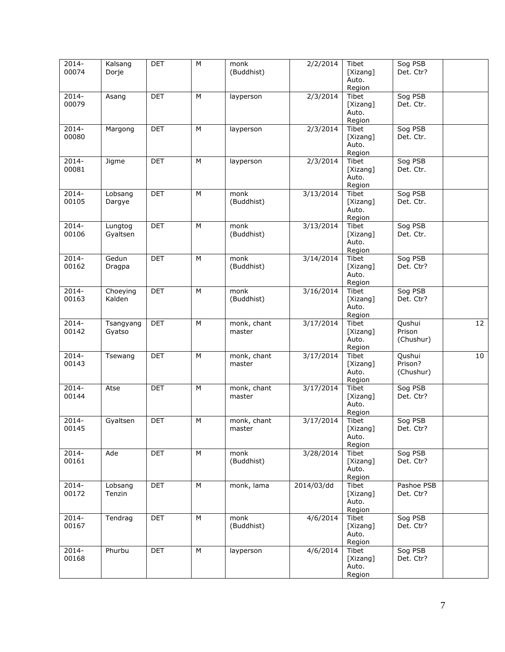| 2014-<br>00074    | Kalsang<br>Dorje    | DET        | М | monk<br>(Buddhist)    | 2/2/2014   | Tibet<br>[Xizang]<br>Auto.<br>Region | Sog PSB<br>Det. Ctr?           |                 |
|-------------------|---------------------|------------|---|-----------------------|------------|--------------------------------------|--------------------------------|-----------------|
| $2014 -$<br>00079 | Asang               | <b>DET</b> | М | layperson             | 2/3/2014   | Tibet<br>[Xizang]<br>Auto.<br>Region | Sog PSB<br>Det. Ctr.           |                 |
| 2014-<br>00080    | Margong             | <b>DET</b> | М | layperson             | 2/3/2014   | Tibet<br>[Xizang]<br>Auto.<br>Region | Sog PSB<br>Det. Ctr.           |                 |
| $2014 -$<br>00081 | Jigme               | <b>DET</b> | М | layperson             | 2/3/2014   | Tibet<br>[Xizang]<br>Auto.<br>Region | Sog PSB<br>Det. Ctr.           |                 |
| 2014-<br>00105    | Lobsang<br>Dargye   | <b>DET</b> | М | monk<br>(Buddhist)    | 3/13/2014  | Tibet<br>[Xizang]<br>Auto.<br>Region | Sog PSB<br>Det. Ctr.           |                 |
| $2014 -$<br>00106 | Lungtog<br>Gyaltsen | <b>DET</b> | М | monk<br>(Buddhist)    | 3/13/2014  | Tibet<br>[Xizang]<br>Auto.<br>Region | Sog PSB<br>Det. Ctr.           |                 |
| $2014 -$<br>00162 | Gedun<br>Dragpa     | <b>DET</b> | M | monk<br>(Buddhist)    | 3/14/2014  | Tibet<br>[Xizang]<br>Auto.<br>Region | Sog PSB<br>Det. Ctr?           |                 |
| $2014 -$<br>00163 | Choeying<br>Kalden  | <b>DET</b> | М | monk<br>(Buddhist)    | 3/16/2014  | Tibet<br>[Xizang]<br>Auto.<br>Region | Sog PSB<br>Det. Ctr?           |                 |
| $2014 -$<br>00142 | Tsangyang<br>Gyatso | <b>DET</b> | M | monk, chant<br>master | 3/17/2014  | Tibet<br>[Xizang]<br>Auto.<br>Region | Qushui<br>Prison<br>(Chushur)  | $\overline{12}$ |
| 2014-<br>00143    | Tsewang             | <b>DET</b> | М | monk, chant<br>master | 3/17/2014  | Tibet<br>[Xizang]<br>Auto.<br>Region | Qushui<br>Prison?<br>(Chushur) | 10              |
| $2014 -$<br>00144 | Atse                | <b>DET</b> | M | monk, chant<br>master | 3/17/2014  | Tibet<br>[Xizang]<br>Auto.<br>Region | Sog PSB<br>Det. Ctr?           |                 |
| 2014-<br>00145    | Gyaltsen            | <b>DET</b> | М | monk, chant<br>master | 3/17/2014  | Tibet<br>[Xizang]<br>Auto.<br>Region | Sog PSB<br>Det. Ctr?           |                 |
| 2014-<br>00161    | Ade                 | <b>DET</b> | М | monk<br>(Buddhist)    | 3/28/2014  | Tibet<br>[Xizang]<br>Auto.<br>Region | Sog PSB<br>Det. Ctr?           |                 |
| $2014 -$<br>00172 | Lobsang<br>Tenzin   | <b>DET</b> | М | monk, lama            | 2014/03/dd | Tibet<br>[Xizang]<br>Auto.<br>Region | Pashoe PSB<br>Det. Ctr?        |                 |
| 2014-<br>00167    | Tendrag             | <b>DET</b> | М | monk<br>(Buddhist)    | 4/6/2014   | Tibet<br>[Xizang]<br>Auto.<br>Region | Sog PSB<br>Det. Ctr?           |                 |
| $2014 -$<br>00168 | Phurbu              | <b>DET</b> | М | layperson             | 4/6/2014   | Tibet<br>[Xizang]<br>Auto.<br>Region | Sog PSB<br>Det. Ctr?           |                 |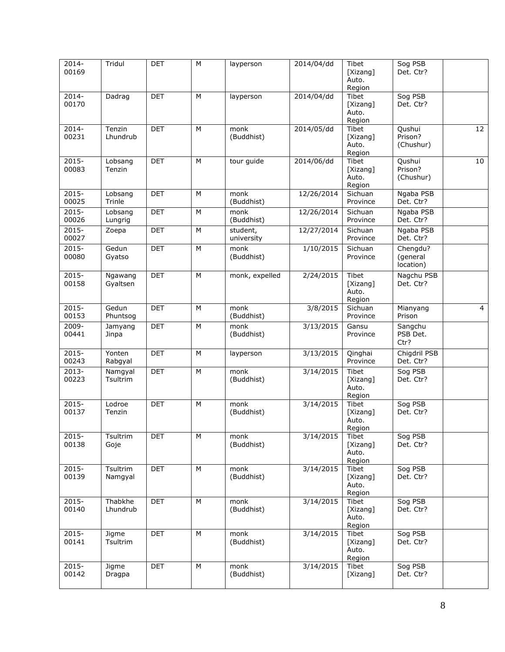| 2014-<br>00169    | Tridul              | <b>DET</b> | M | layperson              | 2014/04/dd             | Tibet<br>[Xizang]<br>Auto.<br>Region        | Sog PSB<br>Det. Ctr?              |                 |
|-------------------|---------------------|------------|---|------------------------|------------------------|---------------------------------------------|-----------------------------------|-----------------|
| $2014 -$<br>00170 | Dadrag              | <b>DET</b> | M | layperson              | 2014/04/dd             | Tibet<br>[Xizang]<br>Auto.<br>Region        | Sog PSB<br>Det. Ctr?              |                 |
| 2014-<br>00231    | Tenzin<br>Lhundrub  | <b>DET</b> | M | monk<br>(Buddhist)     | 2014/05/dd             | <b>Tibet</b><br>[Xizang]<br>Auto.<br>Region | Qushui<br>Prison?<br>(Chushur)    | $\overline{12}$ |
| $2015 -$<br>00083 | Lobsang<br>Tenzin   | <b>DET</b> | M | tour guide             | 2014/06/dd             | <b>Tibet</b><br>[Xizang]<br>Auto.<br>Region | Qushui<br>Prison?<br>(Chushur)    | 10              |
| 2015-<br>00025    | Lobsang<br>Trinle   | <b>DET</b> | М | monk<br>(Buddhist)     | 12/26/2014             | Sichuan<br>Province                         | Ngaba PSB<br>Det. Ctr?            |                 |
| $2015 -$<br>00026 | Lobsang<br>Lungrig  | DET        | M | monk<br>(Buddhist)     | 12/26/2014             | Sichuan<br>Province                         | Ngaba PSB<br>Det. Ctr?            |                 |
| $2015 -$<br>00027 | Zoepa               | <b>DET</b> | M | student,<br>university | 12/27/2014             | Sichuan<br>Province                         | Ngaba PSB<br>Det. Ctr?            |                 |
| $2015 -$<br>00080 | Gedun<br>Gyatso     | <b>DET</b> | M | monk<br>(Buddhist)     | 1/10/2015              | Sichuan<br>Province                         | Chengdu?<br>(general<br>location) |                 |
| $2015 -$<br>00158 | Ngawang<br>Gyaltsen | <b>DET</b> | M | monk, expelled         | 2/24/2015              | Tibet<br>[Xizang]<br>Auto.<br>Region        | Nagchu PSB<br>Det. Ctr?           |                 |
| $2015 -$<br>00153 | Gedun<br>Phuntsog   | <b>DET</b> | M | monk<br>(Buddhist)     | 3/8/2015               | Sichuan<br>Province                         | Mianyang<br>Prison                | $\overline{4}$  |
| 2009-<br>00441    | Jamyang<br>Jinpa    | <b>DET</b> | м | monk<br>(Buddhist)     | $\frac{1}{3}$ /13/2015 | Gansu<br>Province                           | Sangchu<br>PSB Det.<br>Ctr?       |                 |
| $2015 -$<br>00243 | Yonten<br>Rabgyal   | <b>DET</b> | M | layperson              | 3/13/2015              | Qinghai<br>Province                         | Chigdril PSB<br>Det. Ctr?         |                 |
| $2013 -$<br>00223 | Namgyal<br>Tsultrim | <b>DET</b> | М | monk<br>(Buddhist)     | 3/14/2015              | Tibet<br>[Xizang]<br>Auto.<br>Region        | Sog PSB<br>Det. Ctr?              |                 |
| $2015 -$<br>00137 | Lodroe<br>Tenzin    | <b>DET</b> | М | monk<br>(Buddhist)     | 3/14/2015              | Tibet<br>[Xizang]<br>Auto.<br>Region        | Sog PSB<br>Det. Ctr?              |                 |
| $2015 -$<br>00138 | Tsultrim<br>Goje    | <b>DET</b> | М | monk<br>(Buddhist)     | 3/14/2015              | Tibet<br>[Xizang]<br>Auto.<br>Region        | Sog PSB<br>Det. Ctr?              |                 |
| 2015-<br>00139    | Tsultrim<br>Namgyal | DET        | М | monk<br>(Buddhist)     | 3/14/2015              | Tibet<br>[Xizang]<br>Auto.<br>Region        | Sog PSB<br>Det. Ctr?              |                 |
| $2015 -$<br>00140 | Thabkhe<br>Lhundrub | <b>DET</b> | М | monk<br>(Buddhist)     | 3/14/2015              | Tibet<br>[Xizang]<br>Auto.<br>Region        | Sog PSB<br>Det. Ctr?              |                 |
| 2015-<br>00141    | Jigme<br>Tsultrim   | <b>DET</b> | М | monk<br>(Buddhist)     | 3/14/2015              | Tibet<br>[Xizang]<br>Auto.<br>Region        | Sog PSB<br>Det. Ctr?              |                 |
| $2015 -$<br>00142 | Jigme<br>Dragpa     | <b>DET</b> | М | monk<br>(Buddhist)     | 3/14/2015              | Tibet<br>[Xizang]                           | Sog PSB<br>Det. Ctr?              |                 |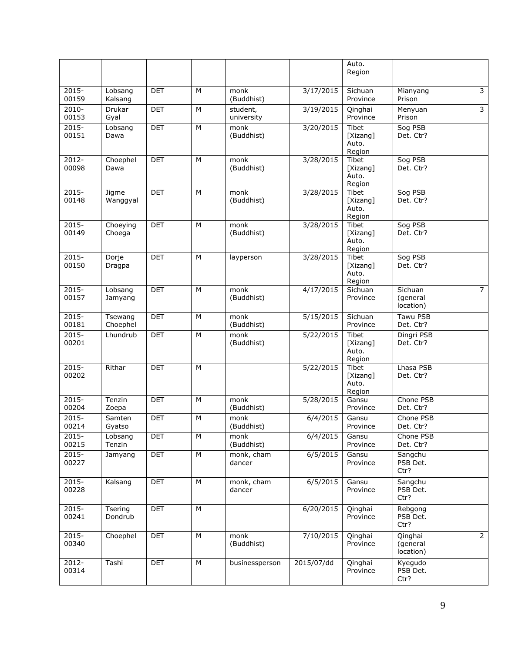|                   |                       |            |   |                                         |            | Auto.<br>Region                             |                                  |                         |
|-------------------|-----------------------|------------|---|-----------------------------------------|------------|---------------------------------------------|----------------------------------|-------------------------|
| $2015 -$<br>00159 | Lobsang<br>Kalsang    | <b>DET</b> | M | monk<br>(Buddhist)                      | 3/17/2015  | Sichuan<br>Province                         | Mianyang<br>Prison               | $\overline{3}$          |
| 2010-<br>00153    | <b>Drukar</b><br>Gyal | <b>DET</b> | M | student,<br>university                  | 3/19/2015  | Qinghai<br>Province                         | Menyuan<br>Prison                | $\overline{\mathbf{3}}$ |
| $2015 -$<br>00151 | Lobsang<br>Dawa       | <b>DET</b> | M | monk<br>(Buddhist)                      | 3/20/2015  | Tibet<br>[Xizang]<br>Auto.<br>Region        | Sog PSB<br>Det. Ctr?             |                         |
| 2012-<br>00098    | Choephel<br>Dawa      | <b>DET</b> | M | monk<br>(Buddhist)                      | 3/28/2015  | <b>Tibet</b><br>[Xizang]<br>Auto.<br>Region | Sog PSB<br>Det. Ctr?             |                         |
| 2015-<br>00148    | Jigme<br>Wanggyal     | <b>DET</b> | M | monk<br>(Buddhist)                      | 3/28/2015  | Tibet<br>[Xizang]<br>Auto.<br>Region        | Sog PSB<br>Det. Ctr?             |                         |
| $2015 -$<br>00149 | Choeying<br>Choega    | <b>DET</b> | M | $\overline{\text{month}}$<br>(Buddhist) | 3/28/2015  | <b>Tibet</b><br>[Xizang]<br>Auto.<br>Region | Sog PSB<br>Det. Ctr?             |                         |
| $2015 -$<br>00150 | Dorje<br>Dragpa       | <b>DET</b> | M | layperson                               | 3/28/2015  | Tibet<br>[Xizang]<br>Auto.<br>Region        | Sog PSB<br>Det. Ctr?             |                         |
| $2015 -$<br>00157 | Lobsang<br>Jamyang    | <b>DET</b> | M | monk<br>(Buddhist)                      | 4/17/2015  | Sichuan<br>Province                         | Sichuan<br>(general<br>location) | $\overline{7}$          |
| 2015-<br>00181    | Tsewang<br>Choephel   | <b>DET</b> | M | monk<br>(Buddhist)                      | 5/15/2015  | Sichuan<br>Province                         | Tawu PSB<br>Det. Ctr?            |                         |
| $2015 -$<br>00201 | Lhundrub              | <b>DET</b> | M | monk<br>(Buddhist)                      | 5/22/2015  | Tibet<br>[Xizang]<br>Auto.<br>Region        | Dingri PSB<br>Det. Ctr?          |                         |
| $2015 -$<br>00202 | Rithar                | <b>DET</b> | M |                                         | 5/22/2015  | Tibet<br>[Xizang]<br>Auto.<br>Region        | Lhasa PSB<br>Det. Ctr?           |                         |
| 2015-<br>00204    | Tenzin<br>Zoepa       | <b>DET</b> | M | monk<br>(Buddhist)                      | 5/28/2015  | Gansu<br>Province                           | Chone PSB<br>Det. Ctr?           |                         |
| $2015 -$<br>00214 | Samten<br>Gyatso      | <b>DET</b> | M | monk<br>(Buddhist)                      | 6/4/2015   | Gansu<br>Province                           | Chone PSB<br>Det. Ctr?           |                         |
| $2015 -$<br>00215 | Lobsang<br>Tenzin     | DET        | M | monk<br>(Buddhist)                      | 6/4/2015   | Gansu<br>Province                           | Chone PSB<br>Det. Ctr?           |                         |
| $2015 -$<br>00227 | Jamyang               | <b>DET</b> | M | monk, cham<br>dancer                    | 6/5/2015   | Gansu<br>Province                           | Sangchu<br>PSB Det.<br>Ctr?      |                         |
| $2015 -$<br>00228 | Kalsang               | <b>DET</b> | M | monk, cham<br>dancer                    | 6/5/2015   | Gansu<br>Province                           | Sangchu<br>PSB Det.<br>Ctr?      |                         |
| $2015 -$<br>00241 | Tsering<br>Dondrub    | DET        | M |                                         | 6/20/2015  | Qinghai<br>Province                         | Rebgong<br>PSB Det.<br>Ctr?      |                         |
| $2015 -$<br>00340 | Choephel              | <b>DET</b> | M | monk<br>(Buddhist)                      | 7/10/2015  | Qinghai<br>Province                         | Qinghai<br>(general<br>location) | $\overline{2}$          |
| 2012-<br>00314    | Tashi                 | <b>DET</b> | M | businessperson                          | 2015/07/dd | Qinghai<br>Province                         | Kyegudo<br>PSB Det.<br>Ctr?      |                         |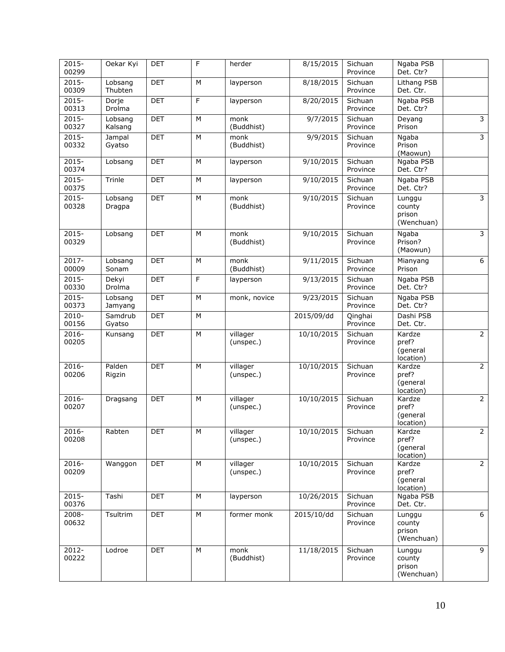| $2015 -$<br>00299 | Oekar Kyi          | <b>DET</b> | F | herder                | 8/15/2015           | Sichuan<br>Province | Ngaba PSB<br>Det. Ctr?                   |                         |
|-------------------|--------------------|------------|---|-----------------------|---------------------|---------------------|------------------------------------------|-------------------------|
| $2015 -$<br>00309 | Lobsang<br>Thubten | <b>DET</b> | M | layperson             | 8/18/2015           | Sichuan<br>Province | Lithang PSB<br>Det. Ctr.                 |                         |
| $2015 -$<br>00313 | Dorje<br>Drolma    | <b>DET</b> | F | layperson             | 8/20/2015           | Sichuan<br>Province | Ngaba PSB<br>Det. Ctr?                   |                         |
| $2015 -$<br>00327 | Lobsang<br>Kalsang | <b>DET</b> | M | monk<br>(Buddhist)    | 9/7/2015            | Sichuan<br>Province | Deyang<br>Prison                         | $\overline{3}$          |
| 2015-<br>00332    | Jampal<br>Gyatso   | <b>DET</b> | M | monk<br>(Buddhist)    | 9/9/2015            | Sichuan<br>Province | Ngaba<br>Prison<br>(Maowun)              | 3                       |
| $2015 -$<br>00374 | Lobsang            | <b>DET</b> | M | layperson             | 9/10/2015           | Sichuan<br>Province | Ngaba PSB<br>Det. Ctr?                   |                         |
| $2015 -$<br>00375 | Trinle             | <b>DET</b> | M | layperson             | 9/10/2015           | Sichuan<br>Province | Ngaba PSB<br>Det. Ctr?                   |                         |
| $2015 -$<br>00328 | Lobsang<br>Dragpa  | <b>DET</b> | М | monk<br>(Buddhist)    | 9/10/2015           | Sichuan<br>Province | Lunggu<br>county<br>prison<br>(Wenchuan) | $\overline{\mathbf{3}}$ |
| $2015 -$<br>00329 | Lobsang            | <b>DET</b> | M | monk<br>(Buddhist)    | 9/10/2015           | Sichuan<br>Province | Ngaba<br>Prison?<br>(Maowun)             | $\overline{3}$          |
| 2017-<br>00009    | Lobsang<br>Sonam   | <b>DET</b> | M | monk<br>(Buddhist)    | 9/11/2015           | Sichuan<br>Province | Mianyang<br>Prison                       | 6                       |
| $2015 -$<br>00330 | Dekyi<br>Drolma    | <b>DET</b> | F | layperson             | 9/13/2015           | Sichuan<br>Province | Ngaba PSB<br>Det. Ctr?                   |                         |
| $2015 -$<br>00373 | Lobsang<br>Jamyang | <b>DET</b> | M | monk, novice          | $\frac{9}{23}/2015$ | Sichuan<br>Province | Ngaba PSB<br>Det. Ctr?                   |                         |
| 2010-<br>00156    | Samdrub<br>Gyatso  | <b>DET</b> | M |                       | 2015/09/dd          | Qinghai<br>Province | Dashi PSB<br>Det. Ctr.                   |                         |
| 2016-<br>00205    | Kunsang            | <b>DET</b> | M | villager<br>(unspec.) | 10/10/2015          | Sichuan<br>Province | Kardze<br>pref?<br>(general<br>location) | $\overline{2}$          |
| $2016 -$<br>00206 | Palden<br>Rigzin   | <b>DET</b> | M | villager<br>(unspec.) | 10/10/2015          | Sichuan<br>Province | Kardze<br>pref?<br>(general<br>location) | $\overline{2}$          |
| 2016-<br>00207    | Dragsang           | <b>DET</b> | M | villager<br>(unspec.) | 10/10/2015          | Sichuan<br>Province | Kardze<br>pref?<br>(general<br>location) | $\overline{2}$          |
| 2016-<br>00208    | Rabten             | DET        | M | villager<br>(unspec.) | 10/10/2015          | Sichuan<br>Province | Kardze<br>pref?<br>(general<br>location) | $\overline{2}$          |
| 2016-<br>00209    | Wanggon            | <b>DET</b> | M | villager<br>(unspec.) | 10/10/2015          | Sichuan<br>Province | Kardze<br>pref?<br>(general<br>location) | $\overline{2}$          |
| $2015 -$<br>00376 | Tashi              | <b>DET</b> | M | layperson             | 10/26/2015          | Sichuan<br>Province | Ngaba PSB<br>Det. Ctr.                   |                         |
| 2008-<br>00632    | Tsultrim           | DET        | M | former monk           | 2015/10/dd          | Sichuan<br>Province | Lunggu<br>county<br>prison<br>(Wenchuan) | 6                       |
| 2012-<br>00222    | Lodroe             | <b>DET</b> | M | monk<br>(Buddhist)    | 11/18/2015          | Sichuan<br>Province | Lunggu<br>county<br>prison<br>(Wenchuan) | 9                       |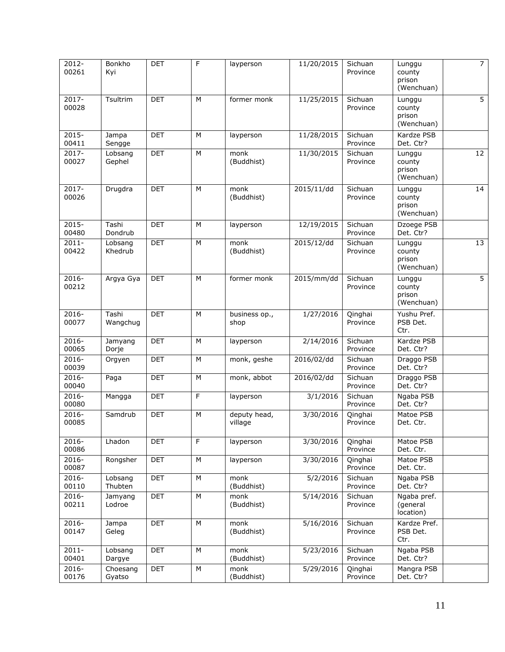| 2012-<br>00261    | Bonkho<br>Kyi      | <b>DET</b> | F | layperson               | 11/20/2015 | Sichuan<br>Province | Lunggu<br>county<br>prison<br>(Wenchuan) | $\overline{7}$  |
|-------------------|--------------------|------------|---|-------------------------|------------|---------------------|------------------------------------------|-----------------|
| 2017-<br>00028    | Tsultrim           | <b>DET</b> | M | former monk             | 11/25/2015 | Sichuan<br>Province | Lunggu<br>county<br>prison<br>(Wenchuan) | $\overline{5}$  |
| $2015 -$<br>00411 | Jampa<br>Sengge    | <b>DET</b> | M | layperson               | 11/28/2015 | Sichuan<br>Province | Kardze PSB<br>Det. Ctr?                  |                 |
| $2017 -$<br>00027 | Lobsang<br>Gephel  | <b>DET</b> | М | monk<br>(Buddhist)      | 11/30/2015 | Sichuan<br>Province | Lunggu<br>county<br>prison<br>(Wenchuan) | $\overline{12}$ |
| 2017-<br>00026    | Drugdra            | <b>DET</b> | M | monk<br>(Buddhist)      | 2015/11/dd | Sichuan<br>Province | Lunggu<br>county<br>prison<br>(Wenchuan) | 14              |
| $2015 -$<br>00480 | Tashi<br>Dondrub   | <b>DET</b> | M | layperson               | 12/19/2015 | Sichuan<br>Province | Dzoege PSB<br>Det. Ctr?                  |                 |
| $2011 -$<br>00422 | Lobsang<br>Khedrub | <b>DET</b> | M | monk<br>(Buddhist)      | 2015/12/dd | Sichuan<br>Province | Lunggu<br>county<br>prison<br>(Wenchuan) | 13              |
| 2016-<br>00212    | Argya Gya          | <b>DET</b> | M | former monk             | 2015/mm/dd | Sichuan<br>Province | Lunggu<br>county<br>prison<br>(Wenchuan) | $\overline{5}$  |
| $2016 -$<br>00077 | Tashi<br>Wangchug  | <b>DET</b> | M | business op.,<br>shop   | 1/27/2016  | Qinghai<br>Province | Yushu Pref.<br>PSB Det.<br>Ctr.          |                 |
| 2016-<br>00065    | Jamyang<br>Dorje   | <b>DET</b> | M | layperson               | 2/14/2016  | Sichuan<br>Province | Kardze PSB<br>Det. Ctr?                  |                 |
| 2016-<br>00039    | Orgyen             | <b>DET</b> | M | monk, geshe             | 2016/02/dd | Sichuan<br>Province | Draggo PSB<br>Det. Ctr?                  |                 |
| 2016-<br>00040    | Paga               | <b>DET</b> | M | monk, abbot             | 2016/02/dd | Sichuan<br>Province | Draggo PSB<br>Det. Ctr?                  |                 |
| $2016 -$<br>00080 | Mangga             | <b>DET</b> | F | layperson               | 3/1/2016   | Sichuan<br>Province | Ngaba PSB<br>Det. Ctr?                   |                 |
| 2016-<br>00085    | Samdrub            | <b>DET</b> | M | deputy head,<br>village | 3/30/2016  | Oinghai<br>Province | Matoe PSB<br>Det. Ctr.                   |                 |
| 2016-<br>00086    | Lhadon             | <b>DET</b> | F | layperson               | 3/30/2016  | Qinghai<br>Province | Matoe PSB<br>Det. Ctr.                   |                 |
| $2016 -$<br>00087 | Rongsher           | <b>DET</b> | М | layperson               | 3/30/2016  | Qinghai<br>Province | Matoe PSB<br>Det. Ctr.                   |                 |
| 2016-<br>00110    | Lobsang<br>Thubten | <b>DET</b> | M | monk<br>(Buddhist)      | 5/2/2016   | Sichuan<br>Province | Ngaba PSB<br>Det. Ctr?                   |                 |
| $2016 -$<br>00211 | Jamyang<br>Lodroe  | DET        | M | monk<br>(Buddhist)      | 5/14/2016  | Sichuan<br>Province | Ngaba pref.<br>(general<br>location)     |                 |
| 2016-<br>00147    | Jampa<br>Geleg     | <b>DET</b> | M | monk<br>(Buddhist)      | 5/16/2016  | Sichuan<br>Province | Kardze Pref.<br>PSB Det.<br>Ctr.         |                 |
| $2011 -$<br>00401 | Lobsang<br>Dargye  | <b>DET</b> | M | monk<br>(Buddhist)      | 5/23/2016  | Sichuan<br>Province | Ngaba PSB<br>Det. Ctr?                   |                 |
| 2016-<br>00176    | Choesang<br>Gyatso | <b>DET</b> | М | monk<br>(Buddhist)      | 5/29/2016  | Qinghai<br>Province | Mangra PSB<br>Det. Ctr?                  |                 |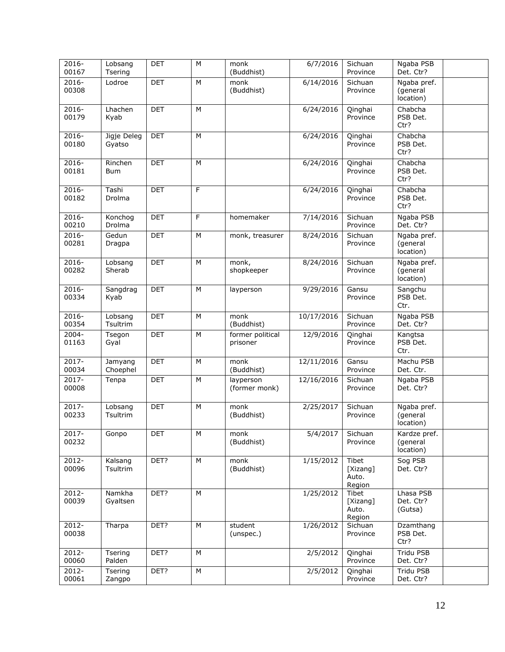| 2016-<br>00167    | Lobsang<br>Tsering            | DET        | M | monk<br>(Buddhist)           | 6/7/2016   | Sichuan<br>Province                  | Ngaba PSB<br>Det. Ctr?                |  |
|-------------------|-------------------------------|------------|---|------------------------------|------------|--------------------------------------|---------------------------------------|--|
| 2016-<br>00308    | Lodroe                        | <b>DET</b> | M | monk<br>(Buddhist)           | 6/14/2016  | Sichuan<br>Province                  | Ngaba pref.<br>(general<br>location)  |  |
| 2016-<br>00179    | Lhachen<br>Kyab               | <b>DET</b> | M |                              | 6/24/2016  | Qinghai<br>Province                  | Chabcha<br>PSB Det.<br>Ctr?           |  |
| $2016 -$<br>00180 | Jigje Deleg<br>Gyatso         | <b>DET</b> | M |                              | 6/24/2016  | Qinghai<br>Province                  | Chabcha<br>PSB Det.<br>Ctr?           |  |
| 2016-<br>00181    | Rinchen<br>Bum                | <b>DET</b> | M |                              | 6/24/2016  | Qinghai<br>Province                  | Chabcha<br>PSB Det.<br>Ctr?           |  |
| 2016-<br>00182    | $\overline{T}$ ashi<br>Drolma | <b>DET</b> | F |                              | 6/24/2016  | Qinghai<br>Province                  | Chabcha<br>PSB Det.<br>Ctr?           |  |
| 2016-<br>00210    | Konchog<br>Drolma             | <b>DET</b> | F | homemaker                    | 7/14/2016  | Sichuan<br>Province                  | Ngaba PSB<br>Det. Ctr?                |  |
| $2016 -$<br>00281 | Gedun<br>Dragpa               | <b>DET</b> | M | monk, treasurer              | 8/24/2016  | Sichuan<br>Province                  | Ngaba pref.<br>(general<br>location)  |  |
| 2016-<br>00282    | Lobsang<br>Sherab             | <b>DET</b> | M | monk,<br>shopkeeper          | 8/24/2016  | Sichuan<br>Province                  | Ngaba pref.<br>(general<br>location)  |  |
| $2016 -$<br>00334 | Sangdrag<br>Kyab              | <b>DET</b> | M | layperson                    | 9/29/2016  | Gansu<br>Province                    | Sangchu<br>PSB Det.<br>Ctr.           |  |
| 2016-<br>00354    | Lobsang<br>Tsultrim           | DET        | M | monk<br>(Buddhist)           | 10/17/2016 | Sichuan<br>Province                  | Ngaba PSB<br>Det. Ctr?                |  |
| $2004 -$<br>01163 | Tsegon<br>Gyal                | <b>DET</b> | M | former political<br>prisoner | 12/9/2016  | Qinghai<br>Province                  | Kangtsa<br>PSB Det.<br>Ctr.           |  |
| 2017-<br>00034    | Jamyang<br>Choephel           | DET        | M | monk<br>(Buddhist)           | 12/11/2016 | Gansu<br>Province                    | Machu PSB<br>Det. Ctr.                |  |
| $2017 -$<br>00008 | Tenpa                         | <b>DET</b> | M | layperson<br>(former monk)   | 12/16/2016 | Sichuan<br>Province                  | Ngaba PSB<br>Det. Ctr?                |  |
| $2017 -$<br>00233 | Lobsang<br>Tsultrim           | <b>DET</b> | M | monk<br>(Buddhist)           | 2/25/2017  | Sichuan<br>Province                  | Ngaba pref.<br>(general<br>location)  |  |
| 2017-<br>00232    | Gonpo                         | DET        | M | monk<br>(Buddhist)           | 5/4/2017   | Sichuan<br>Province                  | Kardze pref.<br>(general<br>location) |  |
| 2012-<br>00096    | Kalsang<br>Tsultrim           | DET?       | M | monk<br>(Buddhist)           | 1/15/2012  | Tibet<br>[Xizang]<br>Auto.<br>Region | Sog PSB<br>Det. Ctr?                  |  |
| 2012-<br>00039    | Namkha<br>Gyaltsen            | DET?       | M |                              | 1/25/2012  | Tibet<br>[Xizang]<br>Auto.<br>Region | Lhasa PSB<br>Det. Ctr?<br>(Gutsa)     |  |
| $2012 -$<br>00038 | Tharpa                        | DET?       | M | student<br>(unspec.)         | 1/26/2012  | Sichuan<br>Province                  | Dzamthang<br>PSB Det.<br>Ctr?         |  |
| 2012-<br>00060    | Tsering<br>Palden             | DET?       | M |                              | 2/5/2012   | Qinghai<br>Province                  | Tridu PSB<br>Det. Ctr?                |  |
| $2012 -$<br>00061 | Tsering<br>Zangpo             | DET?       | M |                              | 2/5/2012   | Qinghai<br>Province                  | Tridu PSB<br>Det. Ctr?                |  |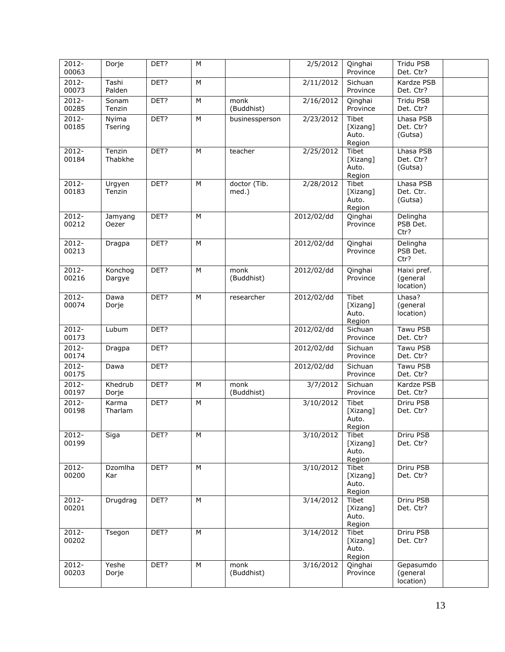| 2012-<br>00063    | Dorje             | DET? | M |                       | 2/5/2012              | Qinghai<br>Province                         | Tridu PSB<br>Det. Ctr?               |
|-------------------|-------------------|------|---|-----------------------|-----------------------|---------------------------------------------|--------------------------------------|
| $2012 -$<br>00073 | Tashi<br>Palden   | DET? | M |                       | $\frac{2}{11/2012}$   | Sichuan<br>Province                         | Kardze PSB<br>Det. Ctr?              |
| $2012 -$<br>00285 | Sonam<br>Tenzin   | DET? | M | monk<br>(Buddhist)    | 2/16/2012             | Qinghai<br>Province                         | Tridu PSB<br>Det. Ctr?               |
| $2012 -$<br>00185 | Nyima<br>Tsering  | DET? | M | businessperson        | 2/23/2012             | Tibet<br>[Xizang]<br>Auto.<br>Region        | Lhasa PSB<br>Det. Ctr?<br>(Gutsa)    |
| $2012 -$<br>00184 | Tenzin<br>Thabkhe | DET? | M | teacher               | 2/25/2012             | Tibet<br>[Xizang]<br>Auto.<br>Region        | Lhasa PSB<br>Det. Ctr?<br>(Gutsa)    |
| $2012 -$<br>00183 | Urgyen<br>Tenzin  | DET? | M | doctor (Tib.<br>med.) | 2/28/2012             | <b>Tibet</b><br>[Xizang]<br>Auto.<br>Region | Lhasa PSB<br>Det. Ctr.<br>(Gutsa)    |
| 2012-<br>00212    | Jamyang<br>Oezer  | DET? | M |                       | 2012/02/dd            | Qinghai<br>Province                         | Delingha<br>PSB Det.<br>Ctr?         |
| 2012-<br>00213    | Dragpa            | DET? | M |                       | 2012/02/dd            | Qinghai<br>Province                         | Delingha<br>PSB Det.<br>Ctr?         |
| $2012 -$<br>00216 | Konchog<br>Dargye | DET? | M | monk<br>(Buddhist)    | 2012/02/dd            | Qinghai<br>Province                         | Haixi pref.<br>(general<br>location) |
| $2012 -$<br>00074 | Dawa<br>Dorje     | DET? | M | researcher            | 2012/02/dd            | Tibet<br>[Xizang]<br>Auto.<br>Region        | Lhasa?<br>(general<br>location)      |
| 2012-<br>00173    | Lubum             | DET? |   |                       | 2012/02/dd            | Sichuan<br>Province                         | Tawu PSB<br>Det. Ctr?                |
| $2012 -$<br>00174 | Dragpa            | DET? |   |                       | 2012/02/dd            | Sichuan<br>Province                         | Tawu PSB<br>Det. Ctr?                |
| $2012 -$<br>00175 | Dawa              | DET? |   |                       | 2012/02/dd            | Sichuan<br>Province                         | Tawu PSB<br>Det. Ctr?                |
| 2012-<br>00197    | Khedrub<br>Dorje  | DET? | M | monk<br>(Buddhist)    | $\frac{1}{3}$ /7/2012 | Sichuan<br>Province                         | Kardze PSB<br>Det. Ctr?              |
| $2012 -$<br>00198 | Karma<br>Tharlam  | DET? | M |                       | 3/10/2012             | Tibet<br>[Xizang]<br>Auto.<br>Region        | Driru PSB<br>Det. Ctr?               |
| 2012-<br>00199    | Siga              | DET? | M |                       | 3/10/2012             | Tibet<br>[Xizang]<br>Auto.<br>Region        | Driru PSB<br>Det. Ctr?               |
| 2012-<br>00200    | Dzomlha<br>Kar    | DET? | M |                       | 3/10/2012             | Tibet<br>[Xizang]<br>Auto.<br>Region        | Driru PSB<br>Det. Ctr?               |
| 2012-<br>00201    | Drugdrag          | DET? | M |                       | 3/14/2012             | Tibet<br>[Xizang]<br>Auto.<br>Region        | Driru PSB<br>Det. Ctr?               |
| $2012 -$<br>00202 | Tsegon            | DET? | M |                       | 3/14/2012             | Tibet<br>[Xizang]<br>Auto.<br>Region        | <b>Driru PSB</b><br>Det. Ctr?        |
| $2012 -$<br>00203 | Yeshe<br>Dorje    | DET? | M | monk<br>(Buddhist)    | 3/16/2012             | Qinghai<br>Province                         | Gepasumdo<br>(general<br>location)   |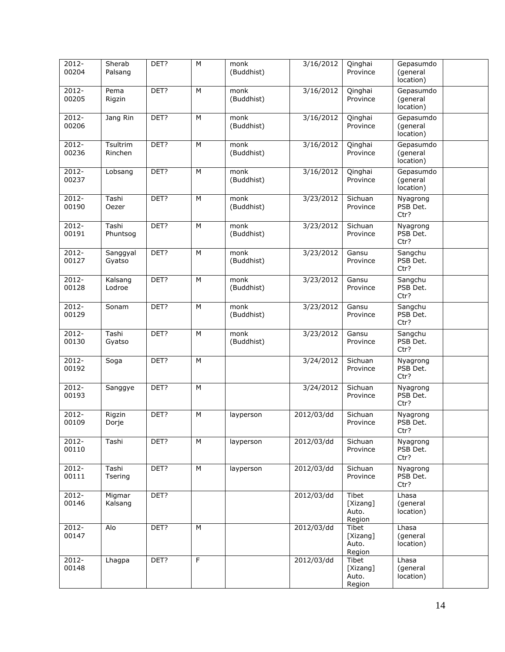| 2012-<br>00204    | Sherab<br>Palsang   | DET? | M | monk<br>(Buddhist) | 3/16/2012  | Qinghai<br>Province                  | Gepasumdo<br>(general<br>location) |  |
|-------------------|---------------------|------|---|--------------------|------------|--------------------------------------|------------------------------------|--|
| $2012 -$<br>00205 | Pema<br>Rigzin      | DET? | M | monk<br>(Buddhist) | 3/16/2012  | Qinghai<br>Province                  | Gepasumdo<br>(general<br>location) |  |
| $2012 -$<br>00206 | Jang Rin            | DET? | M | monk<br>(Buddhist) | 3/16/2012  | Qinghai<br>Province                  | Gepasumdo<br>(general<br>location) |  |
| 2012-<br>00236    | Tsultrim<br>Rinchen | DET? | M | monk<br>(Buddhist) | 3/16/2012  | Qinghai<br>Province                  | Gepasumdo<br>(general<br>location) |  |
| $2012 -$<br>00237 | Lobsang             | DET? | M | monk<br>(Buddhist) | 3/16/2012  | Qinghai<br>Province                  | Gepasumdo<br>(general<br>location) |  |
| 2012-<br>00190    | Tashi<br>Oezer      | DET? | M | monk<br>(Buddhist) | 3/23/2012  | Sichuan<br>Province                  | Nyagrong<br>PSB Det.<br>Ctr?       |  |
| $2012 -$<br>00191 | Tashi<br>Phuntsog   | DET? | M | monk<br>(Buddhist) | 3/23/2012  | Sichuan<br>Province                  | Nyagrong<br>PSB Det.<br>Ctr?       |  |
| 2012-<br>00127    | Sanggyal<br>Gyatso  | DET? | M | monk<br>(Buddhist) | 3/23/2012  | Gansu<br>Province                    | Sangchu<br>PSB Det.<br>Ctr?        |  |
| $2012 -$<br>00128 | Kalsang<br>Lodroe   | DET? | M | monk<br>(Buddhist) | 3/23/2012  | Gansu<br>Province                    | Sangchu<br>PSB Det.<br>Ctr?        |  |
| $2012 -$<br>00129 | Sonam               | DET? | M | monk<br>(Buddhist) | 3/23/2012  | Gansu<br>Province                    | Sangchu<br>PSB Det.<br>Ctr?        |  |
| $2012 -$<br>00130 | Tashi<br>Gyatso     | DET? | M | monk<br>(Buddhist) | 3/23/2012  | Gansu<br>Province                    | Sangchu<br>PSB Det.<br>Ctr?        |  |
| 2012-<br>00192    | Soga                | DET? | M |                    | 3/24/2012  | Sichuan<br>Province                  | Nyagrong<br>PSB Det.<br>Ctr?       |  |
| $2012 -$<br>00193 | Sanggye             | DET? | M |                    | 3/24/2012  | Sichuan<br>Province                  | Nyagrong<br>PSB Det.<br>Ctr?       |  |
| 2012-<br>00109    | Rigzin<br>Dorje     | DET? | M | layperson          | 2012/03/dd | Sichuan<br>Province                  | Nyagrong<br>PSB Det.<br>Ctr?       |  |
| $2012 -$<br>00110 | Tashi               | DET? | M | layperson          | 2012/03/dd | Sichuan<br>Province                  | Nyagrong<br>PSB Det.<br>Ctr?       |  |
| $2012 -$<br>00111 | Tashi<br>Tsering    | DET? | M | layperson          | 2012/03/dd | Sichuan<br>Province                  | Nyagrong<br>PSB Det.<br>Ctr?       |  |
| 2012-<br>00146    | Migmar<br>Kalsang   | DET? |   |                    | 2012/03/dd | Tibet<br>[Xizang]<br>Auto.<br>Region | Lhasa<br>(general<br>location)     |  |
| $2012 -$<br>00147 | Alo                 | DET? | M |                    | 2012/03/dd | Tibet<br>[Xizang]<br>Auto.<br>Region | Lhasa<br>(general<br>location)     |  |
| 2012-<br>00148    | Lhagpa              | DET? | F |                    | 2012/03/dd | Tibet<br>[Xizang]<br>Auto.<br>Region | Lhasa<br>(general<br>location)     |  |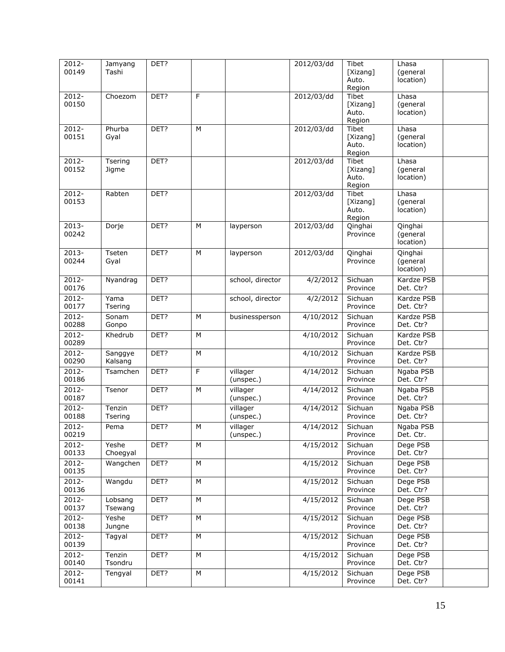| 2012-<br>00149    | Jamyang<br>Tashi   | DET? |   |                       | 2012/03/dd          | Tibet<br>[Xizang]<br>Auto.                  | Lhasa<br>(general<br>location)   |  |
|-------------------|--------------------|------|---|-----------------------|---------------------|---------------------------------------------|----------------------------------|--|
|                   |                    |      |   |                       |                     | Region                                      |                                  |  |
| $2012 -$<br>00150 | Choezom            | DET? | F |                       | 2012/03/dd          | Tibet<br>[Xizang]<br>Auto.<br>Region        | Lhasa<br>(general<br>location)   |  |
| 2012-<br>00151    | Phurba<br>Gyal     | DET? | M |                       | 2012/03/dd          | Tibet<br>[Xizang]<br>Auto.<br>Region        | Lhasa<br>(general<br>location)   |  |
| $2012 -$<br>00152 | Tsering<br>Jigme   | DET? |   |                       | 2012/03/dd          | Tibet<br>[Xizang]<br>Auto.<br>Region        | Lhasa<br>(general<br>location)   |  |
| 2012-<br>00153    | Rabten             | DET? |   |                       | 2012/03/dd          | <b>Tibet</b><br>[Xizang]<br>Auto.<br>Region | Lhasa<br>(general<br>location)   |  |
| $2013 -$<br>00242 | Dorje              | DET? | M | layperson             | 2012/03/dd          | Qinghai<br>Province                         | Qinghai<br>(general<br>location) |  |
| 2013-<br>00244    | Tseten<br>Gyal     | DET? | M | layperson             | 2012/03/dd          | Qinghai<br>Province                         | Qinghai<br>(general<br>location) |  |
| 2012-<br>00176    | Nyandrag           | DET? |   | school, director      | 4/2/2012            | Sichuan<br>Province                         | Kardze PSB<br>Det. Ctr?          |  |
| $2012 -$<br>00177 | Yama<br>Tsering    | DET? |   | school, director      | 4/2/2012            | Sichuan<br>Province                         | Kardze PSB<br>Det. Ctr?          |  |
| 2012-<br>00288    | Sonam<br>Gonpo     | DET? | M | businessperson        | 4/10/2012           | Sichuan<br>Province                         | Kardze PSB<br>Det. Ctr?          |  |
| 2012-<br>00289    | Khedrub            | DET? | M |                       | $\frac{4}{10/2012}$ | Sichuan<br>Province                         | Kardze PSB<br>Det. Ctr?          |  |
| $2012 -$<br>00290 | Sanggye<br>Kalsang | DET? | M |                       | 4/10/2012           | Sichuan<br>Province                         | Kardze PSB<br>Det. Ctr?          |  |
| $2012 -$<br>00186 | Tsamchen           | DET? | F | villager<br>(unspec.) | 4/14/2012           | Sichuan<br>Province                         | Ngaba PSB<br>Det. Ctr?           |  |
| $2012 -$<br>00187 | Tsenor             | DET? | M | villager<br>(unspec.) | 4/14/2012           | Sichuan<br>Province                         | Ngaba PSB<br>Det. Ctr?           |  |
| 2012-<br>00188    | Tenzin<br>Tsering  | DET? |   | villager<br>(unspec.) | 4/14/2012           | Sichuan<br>Province                         | Ngaba PSB<br>Det. Ctr?           |  |
| 2012-<br>00219    | Pema               | DET? | М | villager<br>(unspec.) | 4/14/2012           | Sichuan<br>Province                         | Ngaba PSB<br>Det. Ctr.           |  |
| 2012-<br>00133    | Yeshe<br>Choegyal  | DET? | М |                       | 4/15/2012           | Sichuan<br>Province                         | Dege PSB<br>Det. Ctr?            |  |
| 2012-<br>00135    | Wangchen           | DET? | М |                       | 4/15/2012           | Sichuan<br>Province                         | Dege PSB<br>Det. Ctr?            |  |
| $2012 -$<br>00136 | Wangdu             | DET? | M |                       | 4/15/2012           | Sichuan<br>Province                         | Dege PSB<br>Det. Ctr?            |  |
| 2012-<br>00137    | Lobsang<br>Tsewang | DET? | М |                       | 4/15/2012           | Sichuan<br>Province                         | Dege PSB<br>Det. Ctr?            |  |
| 2012-<br>00138    | Yeshe<br>Jungne    | DET? | M |                       | 4/15/2012           | Sichuan<br>Province                         | Dege PSB<br>Det. Ctr?            |  |
| 2012-<br>00139    | Tagyal             | DET? | M |                       | 4/15/2012           | Sichuan<br>Province                         | Dege PSB<br>Det. Ctr?            |  |
| 2012-<br>00140    | Tenzin<br>Tsondru  | DET? | M |                       | 4/15/2012           | Sichuan<br>Province                         | Dege PSB<br>Det. Ctr?            |  |
| 2012-<br>00141    | Tengyal            | DET? | М |                       | 4/15/2012           | Sichuan<br>Province                         | Dege PSB<br>Det. Ctr?            |  |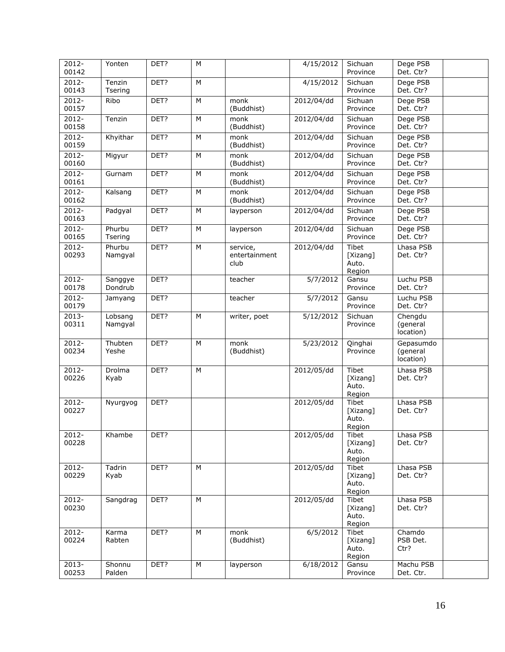| 2012-<br>00142    | Yonten             | DET? | M |                                   | 4/15/2012     | Sichuan<br>Province                         | Dege PSB<br>Det. Ctr?              |  |
|-------------------|--------------------|------|---|-----------------------------------|---------------|---------------------------------------------|------------------------------------|--|
| $2012 -$<br>00143 | Tenzin<br>Tsering  | DET? | M |                                   | 4/15/2012     | Sichuan<br>Province                         | Dege PSB<br>Det. Ctr?              |  |
| $2012 -$<br>00157 | Ribo               | DET? | M | monk<br>(Buddhist)                | 2012/04/dd    | Sichuan<br>Province                         | Dege PSB<br>Det. Ctr?              |  |
| $2012 -$<br>00158 | Tenzin             | DET? | M | monk<br>(Buddhist)                | 2012/04/dd    | Sichuan<br>Province                         | Dege PSB<br>Det. Ctr?              |  |
| $2012 -$<br>00159 | Khyithar           | DET? | M | monk<br>(Buddhist)                | 2012/04/dd    | Sichuan<br>Province                         | Dege PSB<br>Det. Ctr?              |  |
| $2012 -$<br>00160 | Migyur             | DET? | M | monk<br>(Buddhist)                | $2012/04$ /dd | Sichuan<br>Province                         | Dege PSB<br>Det. Ctr?              |  |
| $2012 -$<br>00161 | Gurnam             | DET? | M | monk<br>(Buddhist)                | 2012/04/dd    | Sichuan<br>Province                         | Dege PSB<br>Det. Ctr?              |  |
| $2012 -$<br>00162 | Kalsang            | DET? | M | monk<br>(Buddhist)                | 2012/04/dd    | Sichuan<br>Province                         | Dege PSB<br>Det. Ctr?              |  |
| 2012-<br>00163    | Padgyal            | DET? | M | layperson                         | 2012/04/dd    | Sichuan<br>Province                         | Dege PSB<br>Det. Ctr?              |  |
| $2012 -$<br>00165 | Phurbu<br>Tsering  | DET? | M | layperson                         | 2012/04/dd    | Sichuan<br>Province                         | Dege PSB<br>Det. Ctr?              |  |
| $2012 -$<br>00293 | Phurbu<br>Namgyal  | DET? | M | service,<br>entertainment<br>club | 2012/04/dd    | <b>Tibet</b><br>[Xizang]<br>Auto.<br>Region | Lhasa PSB<br>Det. Ctr?             |  |
| 2012-<br>00178    | Sanggye<br>Dondrub | DET? |   | teacher                           | 5/7/2012      | Gansu<br>Province                           | Luchu PSB<br>Det. Ctr?             |  |
| $2012 -$<br>00179 | Jamyang            | DET? |   | teacher                           | 5/7/2012      | Gansu<br>Province                           | Luchu PSB<br>Det. Ctr?             |  |
| $2013 -$<br>00311 | Lobsang<br>Namgyal | DET? | M | writer, poet                      | 5/12/2012     | Sichuan<br>Province                         | Chengdu<br>(general<br>location)   |  |
| $2012 -$<br>00234 | Thubten<br>Yeshe   | DET? | M | monk<br>(Buddhist)                | 5/23/2012     | Qinghai<br>Province                         | Gepasumdo<br>(general<br>location) |  |
| 2012-<br>00226    | Drolma<br>Kyab     | DET? | M |                                   | 2012/05/dd    | Tibet<br>[Xizang]<br>Auto.<br>Region        | Lhasa PSB<br>Det. Ctr?             |  |
| $2012 -$<br>00227 | Nyurgyog           | DET? |   |                                   | 2012/05/dd    | Tibet<br>[Xizang]<br>Auto.<br>Region        | Lhasa PSB<br>Det. Ctr?             |  |
| 2012-<br>00228    | Khambe             | DET? |   |                                   | 2012/05/dd    | Tibet<br>[Xizang]<br>Auto.<br>Region        | Lhasa PSB<br>Det. Ctr?             |  |
| 2012-<br>00229    | Tadrin<br>Kyab     | DET? | M |                                   | 2012/05/dd    | Tibet<br>[Xizang]<br>Auto.<br>Region        | Lhasa PSB<br>Det. Ctr?             |  |
| 2012-<br>00230    | Sangdrag           | DET? | M |                                   | 2012/05/dd    | Tibet<br>[Xizang]<br>Auto.<br>Region        | Lhasa PSB<br>Det. Ctr?             |  |
| 2012-<br>00224    | Karma<br>Rabten    | DET? | M | monk<br>(Buddhist)                | 6/5/2012      | Tibet<br>[Xizang]<br>Auto.<br>Region        | Chamdo<br>PSB Det.<br>Ctr?         |  |
| $2013 -$<br>00253 | Shonnu<br>Palden   | DET? | M | layperson                         | 6/18/2012     | Gansu<br>Province                           | Machu PSB<br>Det. Ctr.             |  |
|                   |                    |      |   |                                   |               |                                             |                                    |  |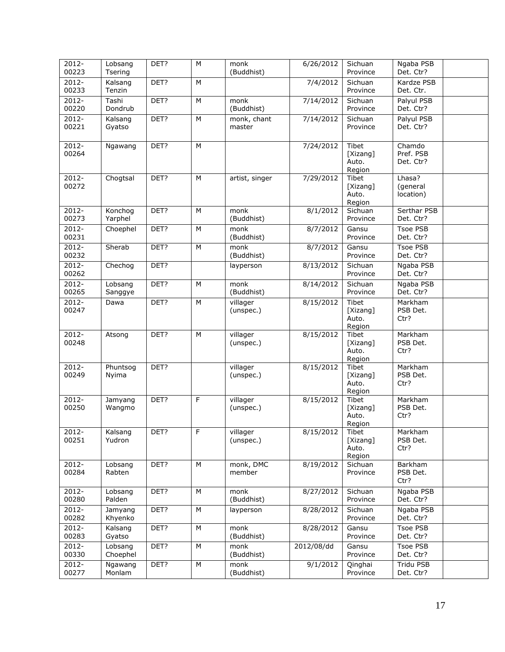| 2012-<br>00223    | Lobsang<br>Tsering  | DET? | M | monk<br>(Buddhist)    | 6/26/2012  | Sichuan<br>Province                         | Ngaba PSB<br>Det. Ctr?           |
|-------------------|---------------------|------|---|-----------------------|------------|---------------------------------------------|----------------------------------|
| $2012 -$<br>00233 | Kalsang<br>Tenzin   | DET? | M |                       | 7/4/2012   | Sichuan<br>Province                         | Kardze PSB<br>Det. Ctr.          |
| $2012 -$<br>00220 | Tashi<br>Dondrub    | DET? | M | monk<br>(Buddhist)    | 7/14/2012  | Sichuan<br>Province                         | Palyul PSB<br>Det. Ctr?          |
| $2012 -$<br>00221 | Kalsang<br>Gyatso   | DET? | M | monk, chant<br>master | 7/14/2012  | Sichuan<br>Province                         | Palyul PSB<br>Det. Ctr?          |
| $2012 -$<br>00264 | Ngawang             | DET? | M |                       | 7/24/2012  | Tibet<br>[Xizang]<br>Auto.<br>Region        | Chamdo<br>Pref. PSB<br>Det. Ctr? |
| 2012-<br>00272    | Chogtsal            | DET? | M | artist, singer        | 7/29/2012  | Tibet<br>[Xizang]<br>Auto.<br>Region        | Lhasa?<br>(general<br>location)  |
| $2012 -$<br>00273 | Konchog<br>Yarphel  | DET? | M | monk<br>(Buddhist)    | 8/1/2012   | Sichuan<br>Province                         | Serthar PSB<br>Det. Ctr?         |
| 2012-<br>00231    | Choephel            | DET? | M | monk<br>(Buddhist)    | 8/7/2012   | Gansu<br>Province                           | Tsoe PSB<br>Det. Ctr?            |
| $2012 -$<br>00232 | Sherab              | DET? | M | monk<br>(Buddhist)    | 8/7/2012   | Gansu<br>Province                           | Tsoe PSB<br>Det. Ctr?            |
| $2012 -$<br>00262 | Chechog             | DET? |   | layperson             | 8/13/2012  | Sichuan<br>Province                         | Ngaba PSB<br>Det. Ctr?           |
| $2012 -$<br>00265 | Lobsang<br>Sanggye  | DET? | M | monk<br>(Buddhist)    | 8/14/2012  | Sichuan<br>Province                         | Ngaba PSB<br>Det. Ctr?           |
| $2012 -$<br>00247 | Dawa                | DET? | M | villager<br>(unspec.) | 8/15/2012  | Tibet<br>[Xizang]<br>Auto.<br>Region        | Markham<br>PSB Det.<br>Ctr?      |
| $2012 -$<br>00248 | Atsong              | DET? | M | villager<br>(unspec.) | 8/15/2012  | Tibet<br>[Xizang]<br>Auto.<br>Region        | Markham<br>PSB Det.<br>Ctr?      |
| $2012 -$<br>00249 | Phuntsog<br>Nyima   | DET? |   | villager<br>(unspec.) | 8/15/2012  | <b>Tibet</b><br>[Xizang]<br>Auto.<br>Region | Markham<br>PSB Det.<br>Ctr?      |
| $2012 -$<br>00250 | Jamyang<br>Wangmo   | DET? | F | villager<br>(unspec.) | 8/15/2012  | Tibet<br>[Xizang]<br>Auto.<br>Region        | Markham<br>PSB Det.<br>Ctr?      |
| $2012 -$<br>00251 | Kalsang<br>Yudron   | DET? | F | villager<br>(unspec.) | 8/15/2012  | <b>Tibet</b><br>[Xizang]<br>Auto.<br>Region | Markham<br>PSB Det.<br>Ctr?      |
| 2012-<br>00284    | Lobsang<br>Rabten   | DET? | M | monk, DMC<br>member   | 8/19/2012  | Sichuan<br>Province                         | Barkham<br>PSB Det.<br>Ctr?      |
| $2012 -$<br>00280 | Lobsang<br>Palden   | DET? | M | monk<br>(Buddhist)    | 8/27/2012  | Sichuan<br>Province                         | Ngaba PSB<br>Det. Ctr?           |
| 2012-<br>00282    | Jamyang<br>Khyenko  | DET? | M | layperson             | 8/28/2012  | Sichuan<br>Province                         | Ngaba PSB<br>Det. Ctr?           |
| 2012-<br>00283    | Kalsang<br>Gyatso   | DET? | M | monk<br>(Buddhist)    | 8/28/2012  | Gansu<br>Province                           | Tsoe PSB<br>Det. Ctr?            |
| 2012-<br>00330    | Lobsang<br>Choephel | DET? | M | monk<br>(Buddhist)    | 2012/08/dd | Gansu<br>Province                           | <b>Tsoe PSB</b><br>Det. Ctr?     |
| 2012-<br>00277    | Ngawang<br>Monlam   | DET? | M | monk<br>(Buddhist)    | 9/1/2012   | Qinghai<br>Province                         | Tridu PSB<br>Det. Ctr?           |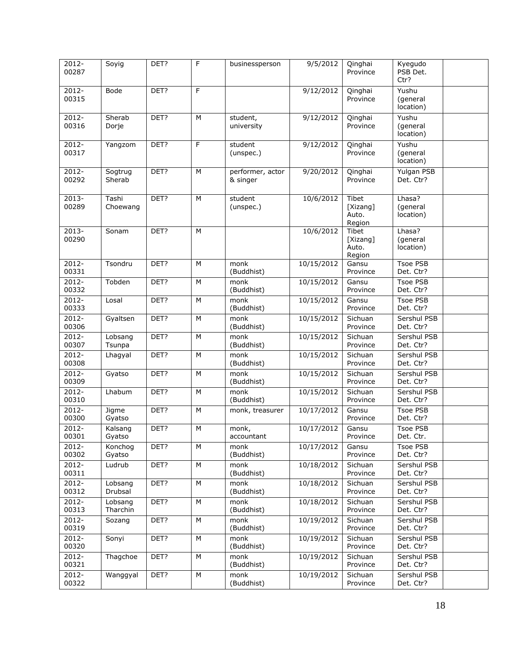| 2012-<br>00287    | Soyig               | DET? | F              | businessperson                         | 9/5/2012   | Qinghai<br>Province                  | Kyegudo<br>PSB Det.<br>Ctr?     |  |
|-------------------|---------------------|------|----------------|----------------------------------------|------------|--------------------------------------|---------------------------------|--|
| $2012 -$<br>00315 | <b>Bode</b>         | DET? | F              |                                        | 9/12/2012  | Qinghai<br>Province                  | Yushu<br>(general<br>location)  |  |
| 2012-<br>00316    | Sherab<br>Dorje     | DET? | M              | student,<br>university                 | 9/12/2012  | Qinghai<br>Province                  | Yushu<br>(general<br>location)  |  |
| 2012-<br>00317    | Yangzom             | DET? | F              | student<br>(unspec.)                   | 9/12/2012  | Qinghai<br>Province                  | Yushu<br>(general<br>location)  |  |
| 2012-<br>00292    | Sogtrug<br>Sherab   | DET? | M              | performer, actor<br>& singer           | 9/20/2012  | Qinghai<br>Province                  | Yulgan PSB<br>Det. Ctr?         |  |
| 2013-<br>00289    | Tashi<br>Choewang   | DET? | М              | student<br>(unspec.)                   | 10/6/2012  | Tibet<br>[Xizang]<br>Auto.<br>Region | Lhasa?<br>(general<br>location) |  |
| $2013 -$<br>00290 | Sonam               | DET? | M              |                                        | 10/6/2012  | Tibet<br>[Xizang]<br>Auto.<br>Region | Lhasa?<br>(general<br>location) |  |
| $2012 -$<br>00331 | Tsondru             | DET? | M              | monk<br>(Buddhist)                     | 10/15/2012 | Gansu<br>Province                    | Tsoe PSB<br>Det. Ctr?           |  |
| $2012 -$<br>00332 | Tobden              | DET? | M              | monk<br>(Buddhist)                     | 10/15/2012 | Gansu<br>Province                    | Tsoe PSB<br>Det. Ctr?           |  |
| $2012 -$<br>00333 | Losal               | DET? | M              | monk<br>(Buddhist)                     | 10/15/2012 | Gansu<br>Province                    | Tsoe PSB<br>Det. Ctr?           |  |
| $2012 -$<br>00306 | Gyaltsen            | DET? | M              | mon <sub>K</sub><br>(Buddhist)         | 10/15/2012 | Sichuan<br>Province                  | Sershul PSB<br>Det. Ctr?        |  |
| 2012-<br>00307    | Lobsang<br>Tsunpa   | DET? | M              | monk<br>(Buddhist)                     | 10/15/2012 | Sichuan<br>Province                  | Sershul PSB<br>Det. Ctr?        |  |
| $2012 -$<br>00308 | Lhagyal             | DET? | М              | monk<br>(Buddhist)                     | 10/15/2012 | Sichuan<br>Province                  | Sershul PSB<br>Det. Ctr?        |  |
| $2012 -$<br>00309 | Gyatso              | DET? | M              | monk<br>(Buddhist)                     | 10/15/2012 | Sichuan<br>Province                  | Sershul PSB<br>Det. Ctr?        |  |
| $2012 -$<br>00310 | Lhabum              | DET? | М              | $\overline{\text{monk}}$<br>(Buddhist) | 10/15/2012 | Sichuan<br>Province                  | Sershul PSB<br>Det. Ctr?        |  |
| 2012-<br>00300    | Jigme<br>Gyatso     | DET? | M              | monk, treasurer                        | 10/17/2012 | Gansu<br>Province                    | Tsoe PSB<br>Det. Ctr?           |  |
| $2012 -$<br>00301 | Kalsang<br>Gyatso   | DET? | $\overline{M}$ | monk,<br>accountant                    | 10/17/2012 | Gansu<br>Province                    | <b>Tsoe PSB</b><br>Det. Ctr.    |  |
| $2012 -$<br>00302 | Konchog<br>Gyatso   | DET? | м              | monk<br>(Buddhist)                     | 10/17/2012 | Gansu<br>Province                    | Tsoe PSB<br>Det. Ctr?           |  |
| 2012-<br>00311    | Ludrub              | DET? | М              | monk<br>(Buddhist)                     | 10/18/2012 | Sichuan<br>Province                  | Sershul PSB<br>Det. Ctr?        |  |
| 2012-<br>00312    | Lobsang<br>Drubsal  | DET? | М              | monk<br>(Buddhist)                     | 10/18/2012 | Sichuan<br>Province                  | Sershul PSB<br>Det. Ctr?        |  |
| $2012 -$<br>00313 | Lobsang<br>Tharchin | DET? | М              | monk<br>(Buddhist)                     | 10/18/2012 | Sichuan<br>Province                  | Sershul PSB<br>Det. Ctr?        |  |
| 2012-<br>00319    | Sozang              | DET? | М              | monk<br>(Buddhist)                     | 10/19/2012 | Sichuan<br>Province                  | Sershul PSB<br>Det. Ctr?        |  |
| 2012-<br>00320    | Sonyi               | DET? | М              | monk<br>(Buddhist)                     | 10/19/2012 | Sichuan<br>Province                  | Sershul PSB<br>Det. Ctr?        |  |
| 2012-<br>00321    | Thagchoe            | DET? | M              | monk<br>(Buddhist)                     | 10/19/2012 | Sichuan<br>Province                  | Sershul PSB<br>Det. Ctr?        |  |
| $2012 -$<br>00322 | Wanggyal            | DET? | М              | monk<br>(Buddhist)                     | 10/19/2012 | Sichuan<br>Province                  | Sershul PSB<br>Det. Ctr?        |  |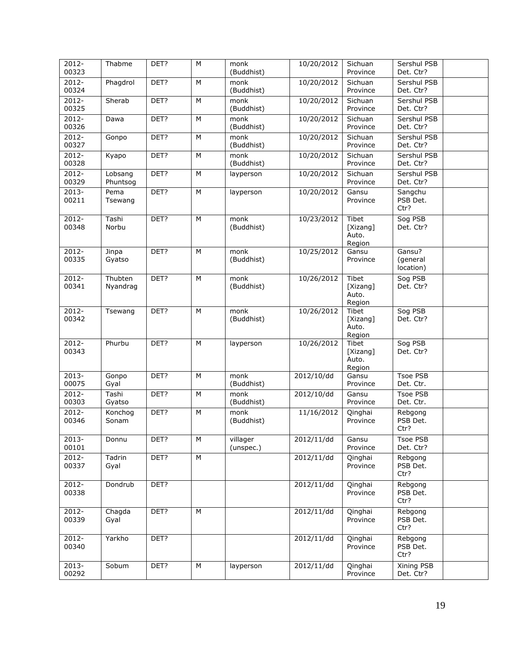| 2012-<br>00323    | Thabme                       | DET? | M | monk<br>(Buddhist)    | 10/20/2012 | Sichuan<br>Province                         | Sershul PSB<br>Det. Ctr?        |
|-------------------|------------------------------|------|---|-----------------------|------------|---------------------------------------------|---------------------------------|
| $2012 -$<br>00324 | Phagdrol                     | DET? | M | monk<br>(Buddhist)    | 10/20/2012 | Sichuan<br>Province                         | Sershul PSB<br>Det. Ctr?        |
| $2012 -$<br>00325 | Sherab                       | DET? | M | monk<br>(Buddhist)    | 10/20/2012 | Sichuan<br>Province                         | Sershul PSB<br>Det. Ctr?        |
| $2012 -$<br>00326 | Dawa                         | DET? | M | monk<br>(Buddhist)    | 10/20/2012 | Sichuan<br>Province                         | Sershul PSB<br>Det. Ctr?        |
| $2012 -$<br>00327 | Gonpo                        | DET? | M | monk<br>(Buddhist)    | 10/20/2012 | Sichuan<br>Province                         | Sershul PSB<br>Det. Ctr?        |
| $2012 -$<br>00328 | Kyapo                        | DET? | M | monk<br>(Buddhist)    | 10/20/2012 | Sichuan<br>Province                         | Sershul PSB<br>Det. Ctr?        |
| $2012 -$<br>00329 | Lobsang<br>Phuntsog          | DET? | M | layperson             | 10/20/2012 | Sichuan<br>Province                         | Sershul PSB<br>Det. Ctr?        |
| $2013 -$<br>00211 | Pema<br>Tsewang              | DET? | M | layperson             | 10/20/2012 | Gansu<br>Province                           | Sangchu<br>PSB Det.<br>Ctr?     |
| $2012 -$<br>00348 | $\overline{T}$ ashi<br>Norbu | DET? | M | monk<br>(Buddhist)    | 10/23/2012 | Tibet<br>[Xizang]<br>Auto.<br>Region        | Sog PSB<br>Det. Ctr?            |
| 2012-<br>00335    | Jinpa<br>Gyatso              | DET? | M | monk<br>(Buddhist)    | 10/25/2012 | Gansu<br>Province                           | Gansu?<br>(general<br>location) |
| $2012 -$<br>00341 | Thubten<br>Nyandrag          | DET? | M | monk<br>(Buddhist)    | 10/26/2012 | Tibet<br>[Xizang]<br>Auto.<br>Region        | Sog PSB<br>Det. Ctr?            |
| 2012-<br>00342    | Tsewang                      | DET? | M | monk<br>(Buddhist)    | 10/26/2012 | <b>Tibet</b><br>[Xizang]<br>Auto.<br>Region | Sog PSB<br>Det. Ctr?            |
| $2012 -$<br>00343 | Phurbu                       | DET? | M | layperson             | 10/26/2012 | Tibet<br>[Xizang]<br>Auto.<br>Region        | Sog PSB<br>Det. Ctr?            |
| 2013-<br>00075    | Gonpo<br>Gyal                | DET? | M | monk<br>(Buddhist)    | 2012/10/dd | Gansu<br>Province                           | Tsoe PSB<br>Det. Ctr.           |
| $2012 -$<br>00303 | Tashi<br>Gyatso              | DET? | M | monk<br>(Buddhist)    | 2012/10/dd | Gansu<br>Province                           | Tsoe PSB<br>Det. Ctr.           |
| $2012 -$<br>00346 | Konchog<br>Sonam             | DET? | M | monk<br>(Buddhist)    | 11/16/2012 | Qinghai<br>Province                         | Rebgong<br>PSB Det.<br>Ctr?     |
| 2013-<br>00101    | Donnu                        | DET? | M | villager<br>(unspec.) | 2012/11/dd | Gansu<br>Province                           | <b>Tsoe PSB</b><br>Det. Ctr?    |
| 2012-<br>00337    | Tadrin<br>Gyal               | DET? | M |                       | 2012/11/dd | Qinghai<br>Province                         | Rebgong<br>PSB Det.<br>Ctr?     |
| 2012-<br>00338    | Dondrub                      | DET? |   |                       | 2012/11/dd | Qinghai<br>Province                         | Rebgong<br>PSB Det.<br>Ctr?     |
| 2012-<br>00339    | Chagda<br>Gyal               | DET? | M |                       | 2012/11/dd | Qinghai<br>Province                         | Rebgong<br>PSB Det.<br>Ctr?     |
| 2012-<br>00340    | Yarkho                       | DET? |   |                       | 2012/11/dd | Qinghai<br>Province                         | Rebgong<br>PSB Det.<br>Ctr?     |
| $2013 -$<br>00292 | Sobum                        | DET? | M | layperson             | 2012/11/dd | Qinghai<br>Province                         | Xining PSB<br>Det. Ctr?         |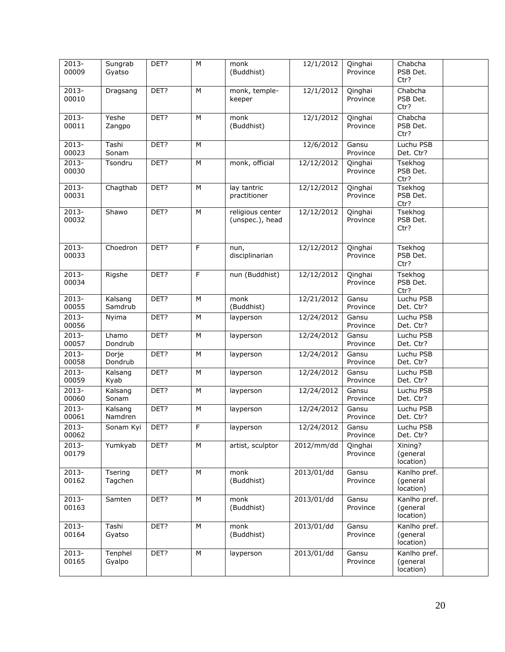| $2013 -$<br>00009 | Sungrab<br>Gyatso  | DET? | M | monk<br>(Buddhist)                  | 12/1/2012  | Qinghai<br>Province | Chabcha<br>PSB Det.<br>Ctr?           |
|-------------------|--------------------|------|---|-------------------------------------|------------|---------------------|---------------------------------------|
| $2013 -$<br>00010 | Dragsang           | DET? | M | monk, temple-<br>keeper             | 12/1/2012  | Qinghai<br>Province | Chabcha<br>PSB Det.<br>Ctr?           |
| $2013 -$<br>00011 | Yeshe<br>Zangpo    | DET? | M | monk<br>(Buddhist)                  | 12/1/2012  | Qinghai<br>Province | Chabcha<br>PSB Det.<br>Ctr?           |
| 2013-<br>00023    | Tashi<br>Sonam     | DET? | М |                                     | 12/6/2012  | Gansu<br>Province   | Luchu PSB<br>Det. Ctr?                |
| $2013 -$<br>00030 | Tsondru            | DET? | M | monk, official                      | 12/12/2012 | Qinghai<br>Province | Tsekhog<br>PSB Det.<br>Ctr?           |
| 2013-<br>00031    | Chagthab           | DET? | M | lay tantric<br>practitioner         | 12/12/2012 | Qinghai<br>Province | Tsekhog<br>PSB Det.<br>Ctr?           |
| 2013-<br>00032    | Shawo              | DET? | M | religious center<br>(unspec.), head | 12/12/2012 | Qinghai<br>Province | Tsekhog<br>PSB Det.<br>Ctr?           |
| $2013 -$<br>00033 | Choedron           | DET? | F | nun,<br>disciplinarian              | 12/12/2012 | Qinghai<br>Province | Tsekhog<br>PSB Det.<br>Ctr?           |
| $2013 -$<br>00034 | Rigshe             | DET? | F | nun (Buddhist)                      | 12/12/2012 | Qinghai<br>Province | Tsekhog<br>PSB Det.<br>Ctr?           |
| $2013 -$<br>00055 | Kalsang<br>Samdrub | DET? | M | monk<br>(Buddhist)                  | 12/21/2012 | Gansu<br>Province   | Luchu PSB<br>Det. Ctr?                |
| $2013 -$<br>00056 | Nyima              | DET? | M | layperson                           | 12/24/2012 | Gansu<br>Province   | Luchu PSB<br>Det. Ctr?                |
| $2013 -$<br>00057 | Lhamo<br>Dondrub   | DET? | M | layperson                           | 12/24/2012 | Gansu<br>Province   | Luchu PSB<br>Det. Ctr?                |
| 2013-<br>00058    | Dorje<br>Dondrub   | DET? | M | layperson                           | 12/24/2012 | Gansu<br>Province   | Luchu PSB<br>Det. Ctr?                |
| $2013 -$<br>00059 | Kalsang<br>Kyab    | DET? | M | layperson                           | 12/24/2012 | Gansu<br>Province   | Luchu PSB<br>Det. Ctr?                |
| $2013 -$<br>00060 | Kalsang<br>Sonam   | DET? | M | layperson                           | 12/24/2012 | Gansu<br>Province   | Luchu PSB<br>Det. Ctr?                |
| 2013-<br>00061    | Kalsang<br>Namdren | DET? | M | layperson                           | 12/24/2012 | Gansu<br>Province   | Luchu PSB<br>Det. Ctr?                |
| 2013-<br>00062    | Sonam Kyi          | DET? | F | layperson                           | 12/24/2012 | Gansu<br>Province   | Luchu PSB<br>Det. Ctr?                |
| $2013 -$<br>00179 | Yumkyab            | DET? | М | artist, sculptor                    | 2012/mm/dd | Qinghai<br>Province | Xining?<br>(general<br>location)      |
| 2013-<br>00162    | Tsering<br>Tagchen | DET? | M | monk<br>(Buddhist)                  | 2013/01/dd | Gansu<br>Province   | Kanlho pref.<br>(general<br>location) |
| $2013 -$<br>00163 | Samten             | DET? | М | monk<br>(Buddhist)                  | 2013/01/dd | Gansu<br>Province   | Kanlho pref.<br>(general<br>location) |
| $2013 -$<br>00164 | Tashi<br>Gyatso    | DET? | М | monk<br>(Buddhist)                  | 2013/01/dd | Gansu<br>Province   | Kanlho pref.<br>(general<br>location) |
| $2013 -$<br>00165 | Tenphel<br>Gyalpo  | DET? | M | layperson                           | 2013/01/dd | Gansu<br>Province   | Kanlho pref.<br>(general<br>location) |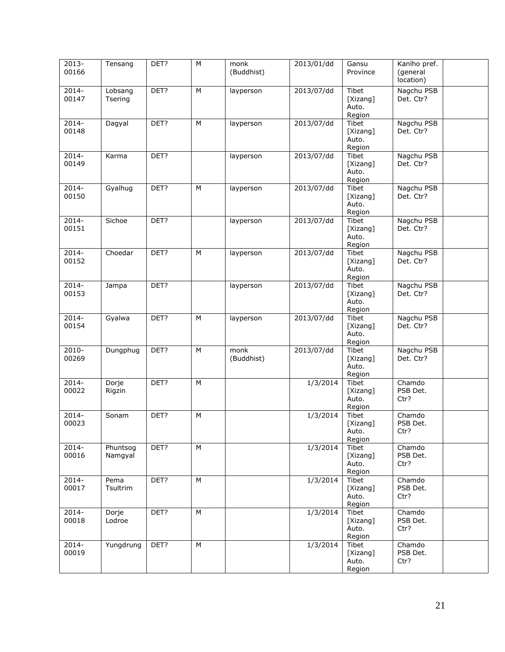| 2013-<br>00166    | Tensang             | DET? | M | monk<br>(Buddhist) | 2013/01/dd | Gansu<br>Province                           | Kanlho pref.<br>(general<br>location) |
|-------------------|---------------------|------|---|--------------------|------------|---------------------------------------------|---------------------------------------|
| $2014 -$<br>00147 | Lobsang<br>Tsering  | DET? | M | layperson          | 2013/07/dd | Tibet<br>[Xizang]<br>Auto.<br>Region        | Nagchu PSB<br>Det. Ctr?               |
| $2014 -$<br>00148 | Dagyal              | DET? | M | layperson          | 2013/07/dd | Tibet<br>[Xizang]<br>Auto.<br>Region        | Nagchu PSB<br>Det. Ctr?               |
| $2014 -$<br>00149 | Karma               | DET? |   | layperson          | 2013/07/dd | Tibet<br>[Xizang]<br>Auto.<br>Region        | Nagchu PSB<br>Det. Ctr?               |
| 2014-<br>00150    | Gyalhug             | DET? | M | layperson          | 2013/07/dd | Tibet<br>[Xizang]<br>Auto.<br>Region        | Nagchu PSB<br>Det. Ctr?               |
| $2014 -$<br>00151 | Sichoe              | DET? |   | layperson          | 2013/07/dd | Tibet<br>[Xizang]<br>Auto.<br>Region        | Nagchu PSB<br>Det. Ctr?               |
| $2014 -$<br>00152 | Choedar             | DET? | M | layperson          | 2013/07/dd | Tibet<br>[Xizang]<br>Auto.<br>Region        | Nagchu PSB<br>Det. Ctr?               |
| $2014 -$<br>00153 | Jampa               | DET? |   | layperson          | 2013/07/dd | Tibet<br>[Xizang]<br>Auto.<br>Region        | Nagchu PSB<br>Det. Ctr?               |
| $2014 -$<br>00154 | Gyalwa              | DET? | M | layperson          | 2013/07/dd | Tibet<br>[Xizang]<br>Auto.<br>Region        | Nagchu PSB<br>Det. Ctr?               |
| 2010-<br>00269    | Dungphug            | DET? | M | monk<br>(Buddhist) | 2013/07/dd | <b>Tibet</b><br>[Xizang]<br>Auto.<br>Region | Nagchu PSB<br>Det. Ctr?               |
| $2014 -$<br>00022 | Dorje<br>Rigzin     | DET? | M |                    | 1/3/2014   | Tibet<br>[Xizang]<br>Auto.<br>Region        | Chamdo<br>PSB Det.<br>Ctr?            |
| 2014-<br>00023    | Sonam               | DET? | M |                    | 1/3/2014   | Tibet<br>[Xizang]<br>Auto.<br>Region        | Chamdo<br>PSB Det.<br>Ctr?            |
| $2014 -$<br>00016 | Phuntsog<br>Namgyal | DET? | M |                    | 1/3/2014   | Tibet<br>[Xizang]<br>Auto.<br>Region        | Chamdo<br>PSB Det.<br>Ctr?            |
| 2014-<br>00017    | Pema<br>Tsultrim    | DET? | M |                    | 1/3/2014   | Tibet<br>[Xizang]<br>Auto.<br>Region        | Chamdo<br>PSB Det.<br>Ctr?            |
| $2014 -$<br>00018 | Dorje<br>Lodroe     | DET? | M |                    | 1/3/2014   | Tibet<br>[Xizang]<br>Auto.<br>Region        | Chamdo<br>PSB Det.<br>Ctr?            |
| $2014 -$<br>00019 | Yungdrung           | DET? | M |                    | 1/3/2014   | Tibet<br>[Xizang]<br>Auto.<br>Region        | Chamdo<br>PSB Det.<br>Ctr?            |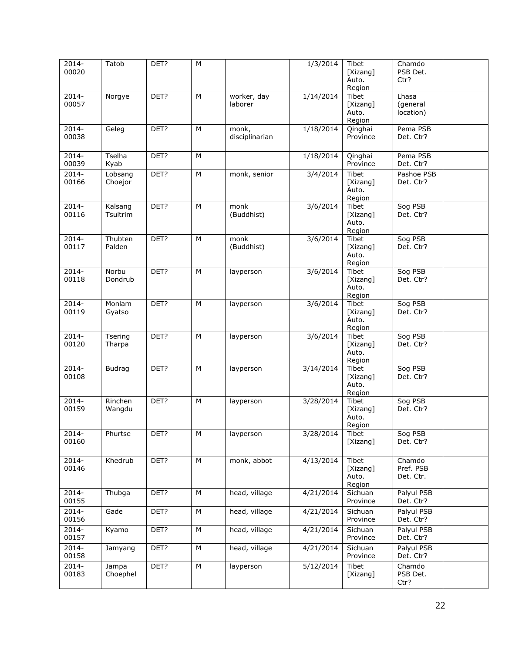| 2014-<br>00020 | Tatob         | DET? | M |                | 1/3/2014  | Tibet<br>[Xizang]<br>Auto. | Chamdo<br>PSB Det.<br>Ctr? |  |
|----------------|---------------|------|---|----------------|-----------|----------------------------|----------------------------|--|
|                |               |      |   |                |           | Region                     |                            |  |
| $2014 -$       | Norgye        | DET? | M | worker, day    | 1/14/2014 | Tibet                      | Lhasa                      |  |
| 00057          |               |      |   | laborer        |           | [Xizang]                   | (general                   |  |
|                |               |      |   |                |           | Auto.                      | location)                  |  |
|                |               |      |   |                |           | Region                     |                            |  |
| 2014-          | Geleg         | DET? | М | monk,          | 1/18/2014 | Qinghai                    | Pema PSB                   |  |
| 00038          |               |      |   | disciplinarian |           | Province                   | Det. Ctr?                  |  |
|                |               |      |   |                |           |                            |                            |  |
|                |               |      |   |                |           |                            |                            |  |
| $2014 -$       | Tselha        | DET? | M |                | 1/18/2014 | Qinghai                    | Pema PSB                   |  |
| 00039          | Kyab          |      |   |                |           | Province                   | Det. Ctr?                  |  |
| 2014-          | Lobsang       | DET? | М | monk, senior   | 3/4/2014  | Tibet                      | Pashoe PSB                 |  |
| 00166          | Choejor       |      |   |                |           | [Xizang]                   | Det. Ctr?                  |  |
|                |               |      |   |                |           | Auto.                      |                            |  |
|                |               |      |   |                |           | Region                     |                            |  |
|                |               |      | M | monk           |           |                            |                            |  |
| 2014-          | Kalsang       | DET? |   |                | 3/6/2014  | Tibet                      | Sog PSB                    |  |
| 00116          | Tsultrim      |      |   | (Buddhist)     |           | [Xizang]                   | Det. Ctr?                  |  |
|                |               |      |   |                |           | Auto.                      |                            |  |
|                |               |      |   |                |           | Region                     |                            |  |
| $2014 -$       | Thubten       | DET? | M | monk           | 3/6/2014  | Tibet                      | Sog PSB                    |  |
| 00117          | Palden        |      |   | (Buddhist)     |           | [Xizang]                   | Det. Ctr?                  |  |
|                |               |      |   |                |           | Auto.                      |                            |  |
|                |               |      |   |                |           | Region                     |                            |  |
| $2014 -$       | Norbu         | DET? | M | layperson      | 3/6/2014  | Tibet                      | Sog PSB                    |  |
| 00118          | Dondrub       |      |   |                |           | [Xizang]                   | Det. Ctr?                  |  |
|                |               |      |   |                |           | Auto.                      |                            |  |
|                |               |      |   |                |           | Region                     |                            |  |
| $2014 -$       | Monlam        | DET? | M | layperson      | 3/6/2014  | Tibet                      | Sog PSB                    |  |
| 00119          | Gyatso        |      |   |                |           | [Xizang]                   | Det. Ctr?                  |  |
|                |               |      |   |                |           | Auto.                      |                            |  |
|                |               |      |   |                |           | Region                     |                            |  |
| 2014-          | Tsering       | DET? | М | layperson      | 3/6/2014  | Tibet                      | Sog PSB                    |  |
| 00120          | Tharpa        |      |   |                |           | [Xizang]                   | Det. Ctr?                  |  |
|                |               |      |   |                |           | Auto.                      |                            |  |
|                |               |      |   |                |           | Region                     |                            |  |
| $2014 -$       | <b>Budrag</b> | DET? | M |                | 3/14/2014 | Tibet                      | Sog PSB                    |  |
| 00108          |               |      |   | layperson      |           |                            | Det. Ctr?                  |  |
|                |               |      |   |                |           | [Xizang]                   |                            |  |
|                |               |      |   |                |           | Auto.                      |                            |  |
|                |               |      |   |                |           | Region                     |                            |  |
| 2014-          | Rinchen       | DET? | M | layperson      | 3/28/2014 | Tibet                      | Sog PSB                    |  |
| 00159          | Wangdu        |      |   |                |           | [Xizang]                   | Det. Ctr?                  |  |
|                |               |      |   |                |           | Auto.                      |                            |  |
|                |               |      |   |                |           | Region                     |                            |  |
| 2014-          | Phurtse       | DET? | M | layperson      | 3/28/2014 | Tibet                      | Sog PSB                    |  |
| 00160          |               |      |   |                |           | [Xizang]                   | Det. Ctr?                  |  |
|                |               |      |   |                |           |                            |                            |  |
| 2014-          | Khedrub       | DET? | М | monk, abbot    | 4/13/2014 | Tibet                      | Chamdo                     |  |
| 00146          |               |      |   |                |           | [Xizang]                   | Pref. PSB                  |  |
|                |               |      |   |                |           | Auto.                      | Det. Ctr.                  |  |
|                |               |      |   |                |           | Region                     |                            |  |
| $2014 -$       | Thubga        | DET? | М | head, village  | 4/21/2014 | Sichuan                    | Palyul PSB                 |  |
| 00155          |               |      |   |                |           | Province                   |                            |  |
|                |               |      |   |                |           |                            | Det. Ctr?                  |  |
| $2014 -$       | Gade          | DET? | M | head, village  | 4/21/2014 | Sichuan                    | Palyul PSB                 |  |
| 00156          |               |      |   |                |           | Province                   | Det. Ctr?                  |  |
| 2014-          | Kyamo         | DET? | М | head, village  | 4/21/2014 | Sichuan                    | Palyul PSB                 |  |
| 00157          |               |      |   |                |           | Province                   | Det. Ctr?                  |  |
|                |               |      |   |                |           |                            |                            |  |
| $2014 -$       | Jamyang       | DET? | М | head, village  | 4/21/2014 | Sichuan                    | Palyul PSB                 |  |
| 00158          |               |      |   |                |           | Province                   | Det. Ctr?                  |  |
| $2014 -$       | Jampa         | DET? | M | layperson      | 5/12/2014 | Tibet                      | Chamdo                     |  |
| 00183          | Choephel      |      |   |                |           | [Xizang]                   | PSB Det.                   |  |
|                |               |      |   |                |           |                            | Ctr?                       |  |
|                |               |      |   |                |           |                            |                            |  |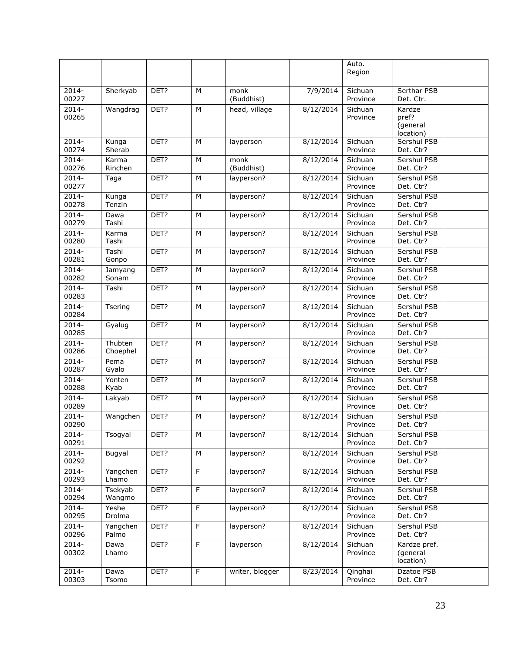|                   |                     |      |                |                    |                      | Auto.<br>Region     |                                          |  |
|-------------------|---------------------|------|----------------|--------------------|----------------------|---------------------|------------------------------------------|--|
| $2014 -$<br>00227 | Sherkyab            | DET? | M              | monk<br>(Buddhist) | 7/9/2014             | Sichuan<br>Province | Serthar PSB<br>Det. Ctr.                 |  |
| $2014 -$<br>00265 | Wangdrag            | DET? | M              | head, village      | 8/12/2014            | Sichuan<br>Province | Kardze<br>pref?<br>(general<br>location) |  |
| $2014 -$<br>00274 | Kunga<br>Sherab     | DET? | M              | layperson          | 8/12/2014            | Sichuan<br>Province | Sershul PSB<br>Det. Ctr?                 |  |
| $2014 -$<br>00276 | Karma<br>Rinchen    | DET? | M              | monk<br>(Buddhist) | $\frac{8}{12}{2014}$ | Sichuan<br>Province | Sershul PSB<br>Det. Ctr?                 |  |
| $2014 -$<br>00277 | Taga                | DET? | M              | layperson?         | 8/12/2014            | Sichuan<br>Province | Sershul PSB<br>Det. Ctr?                 |  |
| $2014 -$<br>00278 | Kunga<br>Tenzin     | DET? | M              | layperson?         | 8/12/2014            | Sichuan<br>Province | Sershul PSB<br>Det. Ctr?                 |  |
| $2014 -$<br>00279 | Dawa<br>Tashi       | DET? | M              | layperson?         | 8/12/2014            | Sichuan<br>Province | Sershul PSB<br>Det. Ctr?                 |  |
| $2014 -$<br>00280 | Karma<br>Tashi      | DET? | M              | layperson?         | 8/12/2014            | Sichuan<br>Province | Sershul PSB<br>Det. Ctr?                 |  |
| $2014 -$<br>00281 | Tashi<br>Gonpo      | DET? | M              | layperson?         | 8/12/2014            | Sichuan<br>Province | Sershul PSB<br>Det. Ctr?                 |  |
| $2014 -$<br>00282 | Jamyang<br>Sonam    | DET? | M              | layperson?         | 8/12/2014            | Sichuan<br>Province | Sershul PSB<br>Det. Ctr?                 |  |
| $2014 -$<br>00283 | Tashi               | DET? | M              | layperson?         | 8/12/2014            | Sichuan<br>Province | Sershul PSB<br>Det. Ctr?                 |  |
| 2014-<br>00284    | Tsering             | DET? | M              | layperson?         | 8/12/2014            | Sichuan<br>Province | Sershul PSB<br>Det. Ctr?                 |  |
| 2014-<br>00285    | Gyalug              | DET? | M              | layperson?         | 8/12/2014            | Sichuan<br>Province | Sershul PSB<br>Det. Ctr?                 |  |
| $2014 -$<br>00286 | Thubten<br>Choephel | DET? | M              | layperson?         | 8/12/2014            | Sichuan<br>Province | Sershul PSB<br>Det. Ctr?                 |  |
| $2014 -$<br>00287 | Pema<br>Gyalo       | DET? | M              | layperson?         | 8/12/2014            | Sichuan<br>Province | Sershul PSB<br>Det. Ctr?                 |  |
| $2014 -$<br>00288 | Yonten<br>Kyab      | DET? | M              | layperson?         | 8/12/2014            | Sichuan<br>Province | Sershul PSB<br>Det. Ctr?                 |  |
| $2014 -$<br>00289 | Lakyab              | DET? | M              | layperson?         | 8/12/2014            | Sichuan<br>Province | Sershul PSB<br>Det. Ctr?                 |  |
| $2014 -$<br>00290 | Wangchen            | DET? | M              | layperson?         | 8/12/2014            | Sichuan<br>Province | Sershul PSB<br>Det. Ctr?                 |  |
| 2014-<br>00291    | Tsogyal             | DET? | M              | layperson?         | 8/12/2014            | Sichuan<br>Province | Sershul PSB<br>Det. Ctr?                 |  |
| $2014 -$<br>00292 | Bugyal              | DET? | M              | layperson?         | 8/12/2014            | Sichuan<br>Province | Sershul PSB<br>Det. Ctr?                 |  |
| $2014 -$<br>00293 | Yangchen<br>Lhamo   | DET? | $\overline{F}$ | layperson?         | 8/12/2014            | Sichuan<br>Province | Sershul PSB<br>Det. Ctr?                 |  |
| $2014 -$<br>00294 | Tsekyab<br>Wangmo   | DET? | F              | layperson?         | 8/12/2014            | Sichuan<br>Province | Sershul PSB<br>Det. Ctr?                 |  |
| $2014 -$<br>00295 | Yeshe<br>Drolma     | DET? | F              | layperson?         | 8/12/2014            | Sichuan<br>Province | Sershul PSB<br>Det. Ctr?                 |  |
| $2014 -$<br>00296 | Yangchen<br>Palmo   | DET? | F              | layperson?         | 8/12/2014            | Sichuan<br>Province | Sershul PSB<br>Det. Ctr?                 |  |
| $2014 -$<br>00302 | Dawa<br>Lhamo       | DET? | F              | layperson          | 8/12/2014            | Sichuan<br>Province | Kardze pref.<br>(general<br>location)    |  |
| $2014 -$<br>00303 | Dawa<br>Tsomo       | DET? | F              | writer, blogger    | 8/23/2014            | Qinghai<br>Province | Dzatoe PSB<br>Det. Ctr?                  |  |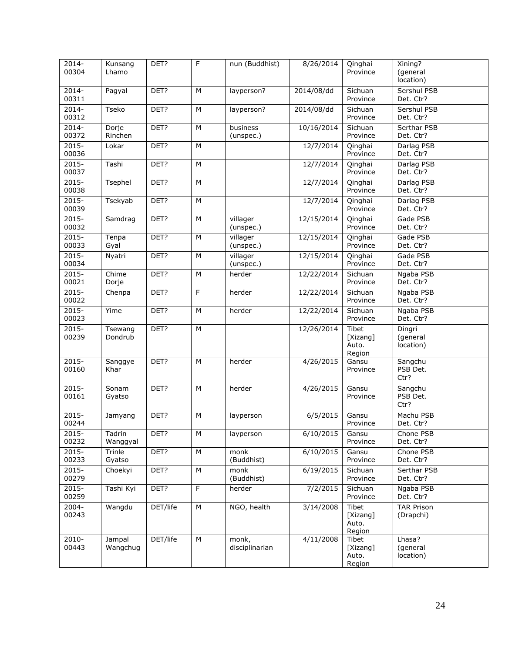| $2014 -$<br>00304 | Kunsang<br>Lhamo   | DET?     | F | nun (Buddhist)          | 8/26/2014  | Qinghai<br>Province                  | Xining?<br>(general<br>location) |  |
|-------------------|--------------------|----------|---|-------------------------|------------|--------------------------------------|----------------------------------|--|
| $2014 -$<br>00311 | Pagyal             | DET?     | M | layperson?              | 2014/08/dd | Sichuan<br>Province                  | Sershul PSB<br>Det. Ctr?         |  |
| $2014 -$<br>00312 | Tseko              | DET?     | M | layperson?              | 2014/08/dd | Sichuan<br>Province                  | Sershul PSB<br>Det. Ctr?         |  |
| $2014 -$<br>00372 | Dorje<br>Rinchen   | DET?     | M | business<br>(unspec.)   | 10/16/2014 | Sichuan<br>Province                  | Serthar PSB<br>Det. Ctr?         |  |
| $2015 -$<br>00036 | Lokar              | DET?     | M |                         | 12/7/2014  | Qinghai<br>Province                  | Darlag PSB<br>Det. Ctr?          |  |
| $2015 -$<br>00037 | Tashi              | DET?     | M |                         | 12/7/2014  | Qinghai<br>Province                  | Darlag PSB<br>Det. Ctr?          |  |
| $2015 -$<br>00038 | Tsephel            | DET?     | M |                         | 12/7/2014  | Qinghai<br>Province                  | Darlag PSB<br>Det. Ctr?          |  |
| $2015 -$<br>00039 | Tsekyab            | DET?     | M |                         | 12/7/2014  | Qinghai<br>Province                  | Darlag PSB<br>Det. Ctr?          |  |
| $2015 -$<br>00032 | Samdrag            | DET?     | M | villager<br>(unspec.)   | 12/15/2014 | Qinghai<br>Province                  | Gade PSB<br>Det. Ctr?            |  |
| $2015 -$<br>00033 | Tenpa<br>Gyal      | DET?     | M | villager<br>(unspec.)   | 12/15/2014 | Qinghai<br>Province                  | Gade PSB<br>Det. Ctr?            |  |
| $2015 -$<br>00034 | Nyatri             | DET?     | M | villager<br>(unspec.)   | 12/15/2014 | Qinghai<br>Province                  | Gade PSB<br>Det. Ctr?            |  |
| $2015 -$<br>00021 | Chime<br>Dorje     | DET?     | M | herder                  | 12/22/2014 | Sichuan<br>Province                  | Ngaba PSB<br>Det. Ctr?           |  |
| $2015 -$<br>00022 | Chenpa             | DET?     | F | herder                  | 12/22/2014 | Sichuan<br>Province                  | Ngaba PSB<br>Det. Ctr?           |  |
| $2015 -$<br>00023 | Yime               | DET?     | M | herder                  | 12/22/2014 | Sichuan<br>Province                  | Ngaba PSB<br>Det. Ctr?           |  |
| $2015 -$<br>00239 | Tsewang<br>Dondrub | DET?     | M |                         | 12/26/2014 | Tibet<br>[Xizang]<br>Auto.<br>Region | Dingri<br>(general<br>location)  |  |
| $2015 -$<br>00160 | Sanggye<br>Khar    | DET?     | M | herder                  | 4/26/2015  | Gansu<br>Province                    | Sangchu<br>PSB Det.<br>Ctr?      |  |
| $2015 -$<br>00161 | Sonam<br>Gyatso    | DET?     | M | herder                  | 4/26/2015  | Gansu<br>Province                    | Sangchu<br>PSB Det.<br>Ctr?      |  |
| $2015 -$<br>00244 | Jamyang            | DET?     | M | layperson               | 6/5/2015   | Gansu<br>Province                    | Machu PSB<br>Det. Ctr?           |  |
| $2015 -$<br>00232 | Tadrin<br>Wanggyal | DET?     | M | layperson               | 6/10/2015  | Gansu<br>Province                    | Chone PSB<br>Det. Ctr?           |  |
| $2015 -$<br>00233 | Trinle<br>Gyatso   | DET?     | M | monk<br>(Buddhist)      | 6/10/2015  | Gansu<br>Province                    | Chone PSB<br>Det. Ctr?           |  |
| $2015 -$<br>00279 | Choekyi            | DET?     | M | monk<br>(Buddhist)      | 6/19/2015  | Sichuan<br>Province                  | Serthar PSB<br>Det. Ctr?         |  |
| $2015 -$<br>00259 | Tashi Kyi          | DET?     | F | herder                  | 7/2/2015   | Sichuan<br>Province                  | Ngaba PSB<br>Det. Ctr?           |  |
| 2004-<br>00243    | Wangdu             | DET/life | M | NGO, health             | 3/14/2008  | Tibet<br>[Xizang]<br>Auto.<br>Region | <b>TAR Prison</b><br>(Drapchi)   |  |
| 2010-<br>00443    | Jampal<br>Wangchug | DET/life | M | monk,<br>disciplinarian | 4/11/2008  | Tibet<br>[Xizang]<br>Auto.<br>Region | Lhasa?<br>(general<br>location)  |  |